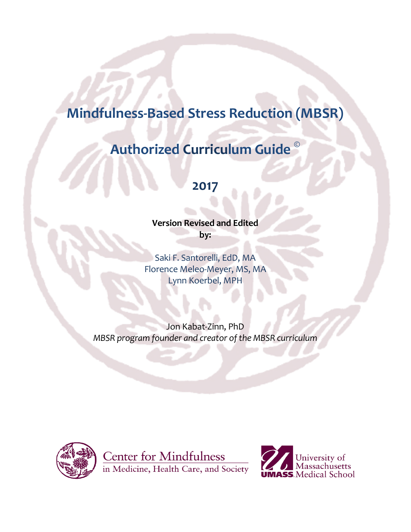# **Mindfulness-Based Stress Reduction (MBSR)**

# **Authorized Curriculum Guide<sup>©</sup>**

# **2017**

**Version Revised and Edited** by:

Saki F. Santorelli, EdD, MA Florence Meleo-Meyer, MS, MA Lynn Koerbel, MPH

Jon Kabat-Zinn, PhD *MBSR program founder and creator of the MBSR curriculum* 



**Center for Mindfulness** in Medicine, Health Care, and Society

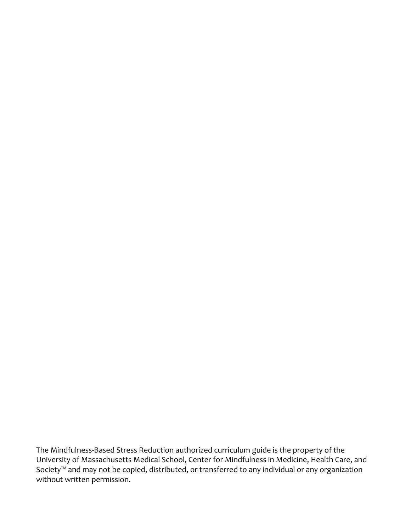The Mindfulness-Based Stress Reduction authorized curriculum guide is the property of the University of Massachusetts Medical School, Center for Mindfulness in Medicine, Health Care, and Society<sup>™</sup> and may not be copied, distributed, or transferred to any individual or any organization without written permission.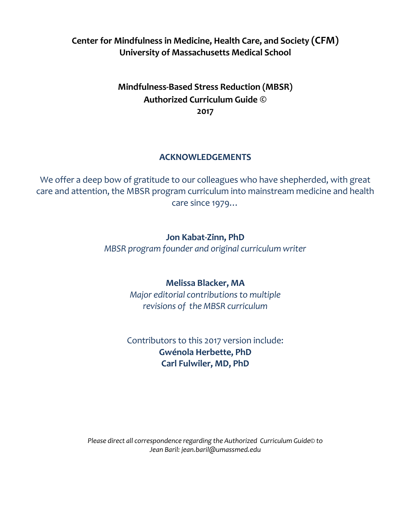### **Center for Mindfulness in Medicine, Health Care, and Society (CFM) University of Massachusetts Medical School**

# **Mindfulness-Based Stress Reduction (MBSR) Authorized Curriculum Guide © 2017**

### **ACKNOWLEDGEMENTS**

We offer a deep bow of gratitude to our colleagues who have shepherded, with great care and attention, the MBSR program curriculum into mainstream medicine and health care since 1979...

### **Jon Kabat-Zinn, PhD**

*MBSR program founder and original curriculum writer*

### **Melissa Blacker, MA**

*Major editorial contributions to multiple revisions of the MBSR curriculum*

# Contributors to this 2017 version include: **Gwénola Herbette, PhD Carl Fulwiler, MD, PhD**

*Please direct all correspondence regarding the Authorized Curriculum Guide© to Jean Baril: [jean.baril@umassmed.edu](mailto:jean.baril@umassmed.edu?subject=Question Regarding MBSR Curriculum Document)*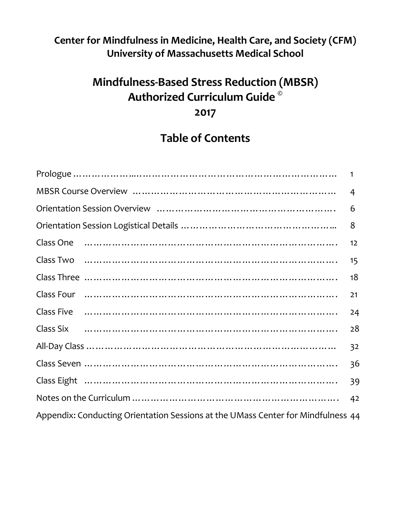# **Center for Mindfulness in Medicine, Health Care, and Society (CFM) University of Massachusetts Medical School**

# **Mindfulness-Based Stress Reduction (MBSR) Authorized Curriculum Guide © 2017**

# **Table of Contents**

|                                                                                  | $\mathbf{1}$ |
|----------------------------------------------------------------------------------|--------------|
|                                                                                  | 4            |
|                                                                                  | 6            |
|                                                                                  | 8            |
|                                                                                  | 12           |
| Class Two ……………………………………………………………………                                             | 15           |
|                                                                                  | 18           |
| Class Four …………………………………………………………………………                                          | 21           |
|                                                                                  | 24           |
|                                                                                  | 28           |
|                                                                                  | 32           |
|                                                                                  | 36           |
|                                                                                  | 39           |
|                                                                                  | 42           |
| Appendix: Conducting Orientation Sessions at the UMass Center for Mindfulness 44 |              |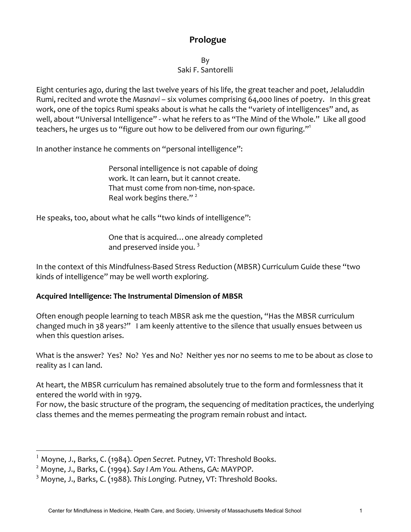## **Prologue**

By Saki F. Santorelli

Eight centuries ago, during the last twelve years of his life, the great teacher and poet, Jelaluddin Rumi, recited and wrote the *Masnavi* - six volumes comprising 64,000 lines of poetry. In this great work, one of the topics Rumi speaks about is what he calls the "variety of intelligences" and, as well, about "Universal Intelligence" - what he refers to as "The Mind of the Whole." Like all good teachers, he urges us to "figure out how to be delivered from our own figuring."<sup>1</sup>

In another instance he comments on "personal intelligence":

Personal intelligence is not capable of doing work. It can learn, but it cannot create. That must come from non-time, non-space. Real work begins there." $2^2$ 

He speaks, too, about what he calls "two kinds of intelligence":

One that is acquired... one already completed and preserved inside you.  $3$ 

In the context of this Mindfulness-Based Stress Reduction (MBSR) Curriculum Guide these "two kinds of intelligence" may be well worth exploring.

### Acquired Intelligence: The Instrumental Dimension of MBSR

Often enough people learning to teach MBSR ask me the question, "Has the MBSR curriculum changed much in 38 years?" I am keenly attentive to the silence that usually ensues between us when this question arises.

What is the answer? Yes? No? Yes and No? Neither yes nor no seems to me to be about as close to reality as I can land.

At heart, the MBSR curriculum has remained absolutely true to the form and formlessness that it entered the world with in 1979.

For now, the basic structure of the program, the sequencing of meditation practices, the underlying class themes and the memes permeating the program remain robust and intact.

 $1$  Moyne, J., Barks, C. (1984). Open Secret. Putney, VT: Threshold Books.

<sup>&</sup>lt;sup>2</sup> Moyne, J., Barks, C. (1994). Say I Am You. Athens, GA: MAYPOP.

<sup>&</sup>lt;sup>3</sup> Moyne, J., Barks, C. (1988). This Longing. Putney, VT: Threshold Books.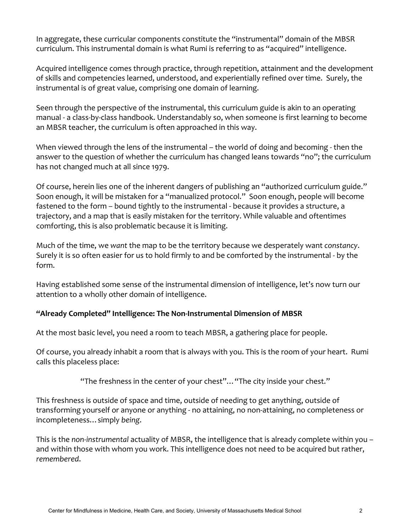In aggregate, these curricular components constitute the "instrumental" domain of the MBSR curriculum. This instrumental domain is what Rumi is referring to as "acquired" intelligence.

Acquired intelligence comes through practice, through repetition, attainment and the development of skills and competencies learned, understood, and experientially refined over time. Surely, the instrumental is of great value, comprising one domain of learning.

Seen through the perspective of the instrumental, this curriculum guide is akin to an operating manual - a class-by-class handbook. Understandably so, when someone is first learning to become an MBSR teacher, the curriculum is often approached in this way.

When viewed through the lens of the instrumental – the world of doing and becoming - then the answer to the question of whether the curriculum has changed leans towards "no"; the curriculum has not changed much at all since 1979.

Of course, herein lies one of the inherent dangers of publishing an "authorized curriculum guide." Soon enough, it will be mistaken for a "manualized protocol." Soon enough, people will become fastened to the form – bound tightly to the instrumental - because it provides a structure, a trajectory, and a map that is easily mistaken for the territory. While valuable and oftentimes comforting, this is also problematic because it is limiting.

Much of the time, we want the map to be the territory because we desperately want *constancy*. Surely it is so often easier for us to hold firmly to and be comforted by the instrumental - by the form. 

Having established some sense of the instrumental dimension of intelligence, let's now turn our attention to a wholly other domain of intelligence.

### "Already Completed" Intelligence: The Non-Instrumental Dimension of MBSR

At the most basic level, you need a room to teach MBSR, a gathering place for people.

Of course, you already inhabit a room that is always with you. This is the room of your heart. Rumi calls this placeless place:

"The freshness in the center of your chest"... "The city inside your chest."

This freshness is outside of space and time, outside of needing to get anything, outside of transforming yourself or anyone or anything - no attaining, no non-attaining, no completeness or incompleteness…simply *being*. 

This is the non-instrumental actuality of MBSR, the intelligence that is already complete within you and within those with whom you work. This intelligence does not need to be acquired but rather, *remembered*.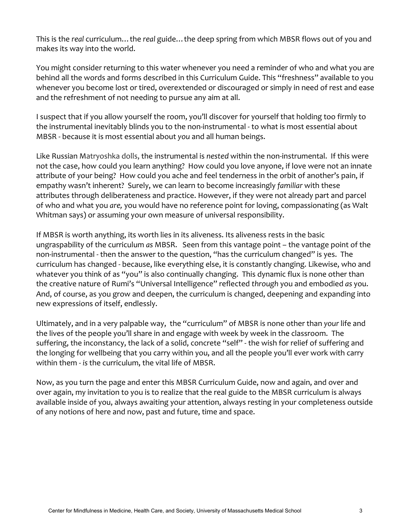This is the real curriculum... the real guide... the deep spring from which MBSR flows out of you and makes its way into the world.

You might consider returning to this water whenever you need a reminder of who and what you are behind all the words and forms described in this Curriculum Guide. This "freshness" available to you whenever you become lost or tired, overextended or discouraged or simply in need of rest and ease and the refreshment of not needing to pursue any aim at all.

I suspect that if you allow yourself the room, you'll discover for yourself that holding too firmly to the instrumental inevitably blinds you to the non-instrumental - to what is most essential about MBSR - because it is most essential about you and all human beings.

Like Russian Matryoshka dolls, the instrumental is nested within the non-instrumental. If this were not the case, how could you learn anything? How could you love anyone, if love were not an innate attribute of your being? How could you ache and feel tenderness in the orbit of another's pain, if empathy wasn't inherent? Surely, we can learn to become increasingly familiar with these attributes through deliberateness and practice. However, if they were not already part and parcel of who and what you *are*, you would have no reference point for loving, compassionating (as Walt Whitman says) or assuming your own measure of universal responsibility.

If MBSR is worth anything, its worth lies in its aliveness. Its aliveness rests in the basic ungraspability of the curriculum *as* MBSR. Seen from this vantage point – the vantage point of the non-instrumental - then the answer to the question, "has the curriculum changed" is yes. The curriculum has changed - because, like everything else, it is constantly changing. Likewise, who and whatever you think of as "you" is also continually changing. This dynamic flux is none other than the creative nature of Rumi's "Universal Intelligence" reflected through you and embodied as you. And, of course, as you grow and deepen, the curriculum is changed, deepening and expanding into new expressions of itself, endlessly.

Ultimately, and in a very palpable way, the "curriculum" of MBSR is none other than your life and the lives of the people you'll share in and engage with week by week in the classroom. The suffering, the inconstancy, the lack of a solid, concrete "self" - the wish for relief of suffering and the longing for wellbeing that you carry within you, and all the people you'll ever work with carry within them - is the curriculum, the vital life of MBSR.

Now, as you turn the page and enter this MBSR Curriculum Guide, now and again, and over and over again, my invitation to you is to realize that the real guide to the MBSR curriculum is always available inside of you, always awaiting your attention, always resting in your completeness outside of any notions of here and now, past and future, time and space.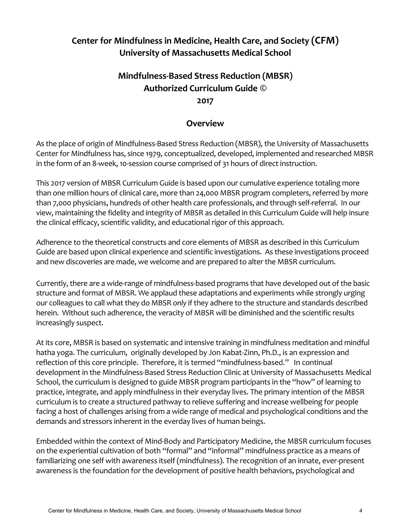# **Center for Mindfulness in Medicine, Health Care, and Society (CFM) University of Massachusetts Medical School**

# **Mindfulness-Based Stress Reduction (MBSR) Authorized Curriculum Guide © 2017**

### **Overview**

As the place of origin of Mindfulness-Based Stress Reduction (MBSR), the University of Massachusetts Center for Mindfulness has, since 1979, conceptualized, developed, implemented and researched MBSR in the form of an 8-week, 10-session course comprised of 31 hours of direct instruction.

This 2017 version of MBSR Curriculum Guide is based upon our cumulative experience totaling more than one million hours of clinical care, more than 24,000 MBSR program completers, referred by more than 7,000 physicians, hundreds of other health care professionals, and through self-referral. In our view, maintaining the fidelity and integrity of MBSR as detailed in this Curriculum Guide will help insure the clinical efficacy, scientific validity, and educational rigor of this approach.

Adherence to the theoretical constructs and core elements of MBSR as described in this Curriculum Guide are based upon clinical experience and scientific investigations. As these investigations proceed and new discoveries are made, we welcome and are prepared to alter the MBSR curriculum.

Currently, there are a wide-range of mindfulness-based programs that have developed out of the basic structure and format of MBSR. We applaud these adaptations and experiments while strongly urging our colleagues to call what they do MBSR only if they adhere to the structure and standards described herein. Without such adherence, the veracity of MBSR will be diminished and the scientific results increasingly suspect.

At its core, MBSR is based on systematic and intensive training in mindfulness meditation and mindful hatha yoga. The curriculum, originally developed by Jon Kabat-Zinn, Ph.D., is an expression and reflection of this core principle. Therefore, it is termed "mindfulness-based." In continual development in the Mindfulness-Based Stress Reduction Clinic at University of Massachusetts Medical School, the curriculum is designed to guide MBSR program participants in the "how" of learning to practice, integrate, and apply mindfulness in their everyday lives. The primary intention of the MBSR curriculum is to create a structured pathway to relieve suffering and increase wellbeing for people facing a host of challenges arising from a wide range of medical and psychological conditions and the demands and stressors inherent in the everday lives of human beings.

Embedded within the context of Mind-Body and Participatory Medicine, the MBSR curriculum focuses on the experiential cultivation of both "formal" and "informal" mindfulness practice as a means of familiarizing one self with awareness itself (mindfulness). The recognition of an innate, ever-present awareness is the foundation for the development of positive health behaviors, psychological and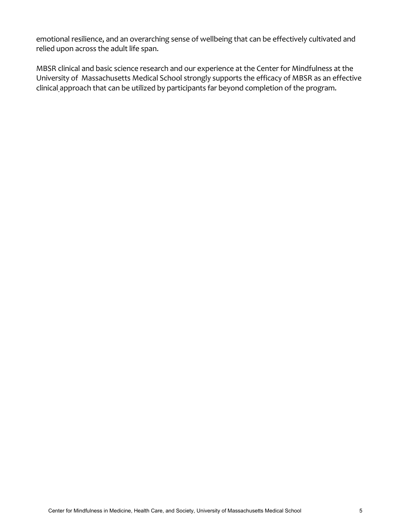emotional resilience, and an overarching sense of wellbeing that can be effectively cultivated and relied upon across the adult life span.

MBSR clinical and basic science research and our experience at the Center for Mindfulness at the University of Massachusetts Medical School strongly supports the efficacy of MBSR as an effective clinical approach that can be utilized by participants far beyond completion of the program.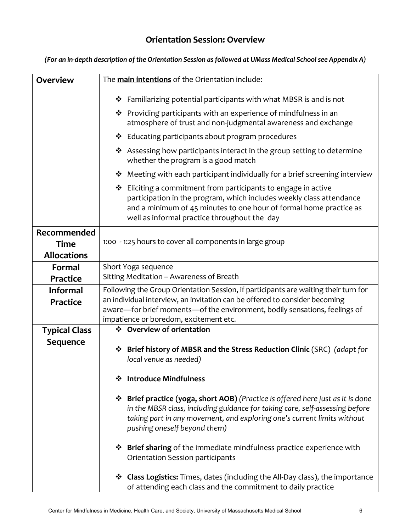# **Orientation Session: Overview**

| <b>Overview</b>      | The main intentions of the Orientation include:                                                                                                                                                                                                                            |
|----------------------|----------------------------------------------------------------------------------------------------------------------------------------------------------------------------------------------------------------------------------------------------------------------------|
|                      | Familiarizing potential participants with what MBSR is and is not<br>❖                                                                                                                                                                                                     |
|                      | $\cdot$ Providing participants with an experience of mindfulness in an                                                                                                                                                                                                     |
|                      | atmosphere of trust and non-judgmental awareness and exchange                                                                                                                                                                                                              |
|                      | ❖ Educating participants about program procedures                                                                                                                                                                                                                          |
|                      | ❖ Assessing how participants interact in the group setting to determine<br>whether the program is a good match                                                                                                                                                             |
|                      | Meeting with each participant individually for a brief screening interview<br>❖                                                                                                                                                                                            |
|                      | $\triangleleft$ Eliciting a commitment from participants to engage in active<br>participation in the program, which includes weekly class attendance<br>and a minimum of 45 minutes to one hour of formal home practice as<br>well as informal practice throughout the day |
| Recommended          |                                                                                                                                                                                                                                                                            |
| <b>Time</b>          | 1:00 - 1:25 hours to cover all components in large group                                                                                                                                                                                                                   |
| <b>Allocations</b>   |                                                                                                                                                                                                                                                                            |
| Formal               | Short Yoga sequence                                                                                                                                                                                                                                                        |
| Practice             | Sitting Meditation - Awareness of Breath                                                                                                                                                                                                                                   |
| <b>Informal</b>      | Following the Group Orientation Session, if participants are waiting their turn for                                                                                                                                                                                        |
| <b>Practice</b>      | an individual interview, an invitation can be offered to consider becoming<br>aware—for brief moments—of the environment, bodily sensations, feelings of                                                                                                                   |
|                      | impatience or boredom, excitement etc.                                                                                                                                                                                                                                     |
| <b>Typical Class</b> | ❖ Overview of orientation                                                                                                                                                                                                                                                  |
| Sequence             |                                                                                                                                                                                                                                                                            |
|                      | * Brief history of MBSR and the Stress Reduction Clinic (SRC) (adapt for                                                                                                                                                                                                   |
|                      | local venue as needed)                                                                                                                                                                                                                                                     |
|                      | <b>Introduce Mindfulness</b><br>❖                                                                                                                                                                                                                                          |
|                      | ❖ Brief practice (yoga, short AOB) (Practice is offered here just as it is done<br>in the MBSR class, including guidance for taking care, self-assessing before<br>taking part in any movement, and exploring one's current limits without<br>pushing oneself beyond them) |
|                      | ❖ Brief sharing of the immediate mindfulness practice experience with<br>Orientation Session participants                                                                                                                                                                  |
|                      | <b>Class Logistics:</b> Times, dates (including the All-Day class), the importance<br>❖<br>of attending each class and the commitment to daily practice                                                                                                                    |

*(For an in-depth description of the Orientation Session as followed at UMass Medical School see Appendix A)*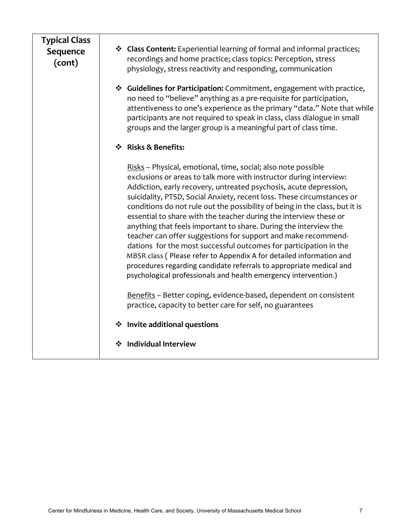| <b>Typical Class</b><br>Sequence<br>(cont) | * Class Content: Experiential learning of formal and informal practices;<br>recordings and home practice; class topics: Perception, stress<br>physiology, stress reactivity and responding, communication                                                                                                                                                                                                                                                                                                                                                                                                                                                                                                                                                                                                                                                         |
|--------------------------------------------|-------------------------------------------------------------------------------------------------------------------------------------------------------------------------------------------------------------------------------------------------------------------------------------------------------------------------------------------------------------------------------------------------------------------------------------------------------------------------------------------------------------------------------------------------------------------------------------------------------------------------------------------------------------------------------------------------------------------------------------------------------------------------------------------------------------------------------------------------------------------|
|                                            | Guidelines for Participation: Commitment, engagement with practice,<br>no need to "believe" anything as a pre-requisite for participation,<br>attentiveness to one's experience as the primary "data." Note that while<br>participants are not required to speak in class, class dialogue in small<br>groups and the larger group is a meaningful part of class time.                                                                                                                                                                                                                                                                                                                                                                                                                                                                                             |
|                                            | ❖ Risks & Benefits:                                                                                                                                                                                                                                                                                                                                                                                                                                                                                                                                                                                                                                                                                                                                                                                                                                               |
|                                            | Risks - Physical, emotional, time, social; also note possible<br>exclusions or areas to talk more with instructor during interview:<br>Addiction, early recovery, untreated psychosis, acute depression,<br>suicidality, PTSD, Social Anxiety, recent loss. These circumstances or<br>conditions do not rule out the possibility of being in the class, but it is<br>essential to share with the teacher during the interview these or<br>anything that feels important to share. During the interview the<br>teacher can offer suggestions for support and make recommend-<br>dations for the most successful outcomes for participation in the<br>MBSR class (Please refer to Appendix A for detailed information and<br>procedures regarding candidate referrals to appropriate medical and<br>psychological professionals and health emergency intervention.) |
|                                            | Benefits - Better coping, evidence-based, dependent on consistent<br>practice, capacity to better care for self, no guarantees                                                                                                                                                                                                                                                                                                                                                                                                                                                                                                                                                                                                                                                                                                                                    |
|                                            | ❖ Invite additional questions                                                                                                                                                                                                                                                                                                                                                                                                                                                                                                                                                                                                                                                                                                                                                                                                                                     |
|                                            | Individual Interview<br>❖                                                                                                                                                                                                                                                                                                                                                                                                                                                                                                                                                                                                                                                                                                                                                                                                                                         |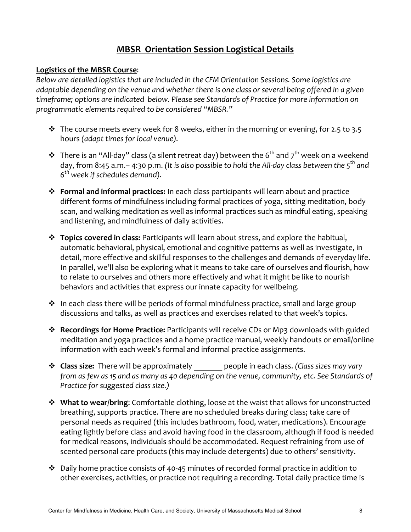### **MBSR Orientation Session Logistical Details**

### **Logistics of the MBSR Course:**

*Below are detailed logistics that are included in the CFM Orientation Sessions. Some logistics are adaptable depending on the venue and whether there is one class or several being offered in a given* timeframe; options are indicated below. Please see Standards of Practice for more information on programmatic elements required to be considered "MBSR."

- $\cdot$  The course meets every week for 8 weeks, either in the morning or evening, for 2.5 to 3.5 hours *(adapt times for local venue).*
- $\cdot$  There is an "All-day" class (a silent retreat day) between the 6<sup>th</sup> and 7<sup>th</sup> week on a weekend day, from 8:45 a.m.– 4:30 p.m. (It is also possible to hold the All-day class between the 5<sup>th</sup> and *6th week if schedules demand).*
- **Eormal and informal practices:** In each class participants will learn about and practice different forms of mindfulness including formal practices of yoga, sitting meditation, body scan, and walking meditation as well as informal practices such as mindful eating, speaking and listening, and mindfulness of daily activities.
- **<sup>❖</sup> Topics covered in class:** Participants will learn about stress, and explore the habitual, automatic behavioral, physical, emotional and cognitive patterns as well as investigate, in detail, more effective and skillful responses to the challenges and demands of everyday life. In parallel, we'll also be exploring what it means to take care of ourselves and flourish, how to relate to ourselves and others more effectively and what it might be like to nourish behaviors and activities that express our innate capacity for wellbeing.
- $\cdot$  In each class there will be periods of formal mindfulness practice, small and large group discussions and talks, as well as practices and exercises related to that week's topics.
- **EXECT Recordings for Home Practice:** Participants will receive CDs or Mp3 downloads with guided meditation and yoga practices and a home practice manual, weekly handouts or email/online information with each week's formal and informal practice assignments.
- **\*** Class size: There will be approximately people in each class. *(Class sizes may vary from* as *few* as 15 and as many as 40 depending on the venue, community, etc. See Standards of *Practice for suggested class size.*)
- \* What to wear/bring: Comfortable clothing, loose at the waist that allows for unconstructed breathing, supports practice. There are no scheduled breaks during class; take care of personal needs as required (this includes bathroom, food, water, medications). Encourage eating lightly before class and avoid having food in the classroom, although if food is needed for medical reasons, individuals should be accommodated. Request refraining from use of scented personal care products (this may include detergents) due to others' sensitivity.
- $\cdot$  Daily home practice consists of 40-45 minutes of recorded formal practice in addition to other exercises, activities, or practice not requiring a recording. Total daily practice time is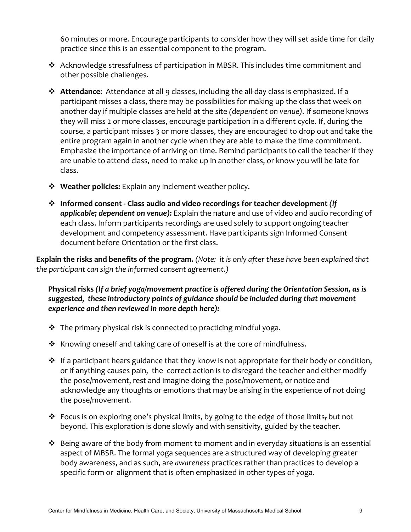60 minutes or more. Encourage participants to consider how they will set aside time for daily practice since this is an essential component to the program.

- $\cdot$  Acknowledge stressfulness of participation in MBSR. This includes time commitment and other possible challenges.
- \* Attendance: Attendance at all 9 classes, including the all-day class is emphasized. If a participant misses a class, there may be possibilities for making up the class that week on another day if multiple classes are held at the site *(dependent on venue)*. If someone knows they will miss 2 or more classes, encourage participation in a different cycle. If, during the course, a participant misses 3 or more classes, they are encouraged to drop out and take the entire program again in another cycle when they are able to make the time commitment. Emphasize the importance of arriving on time. Remind participants to call the teacher if they are unable to attend class, need to make up in another class, or know you will be late for class.
- **❖** Weather policies: Explain any inclement weather policy.
- \* Informed consent Class audio and video recordings for teacher development *(if* applicable; dependent on venue): Explain the nature and use of video and audio recording of each class. Inform participants recordings are used solely to support ongoing teacher development and competency assessment. Have participants sign Informed Consent document before Orientation or the first class.

**Explain the risks and benefits of the program.** (Note: it is only after these have been explained that *the participant can sign the informed consent agreement.)* 

Physical risks (If a brief yoga/movement practice is offered during the Orientation Session, as is suggested, these introductory points of guidance should be included during that movement experience and then reviewed in more depth here):

- $\cdot$  The primary physical risk is connected to practicing mindful yoga.
- $\cdot$  Knowing oneself and taking care of oneself is at the core of mindfulness.
- $\cdot$  If a participant hears guidance that they know is not appropriate for their body or condition, or if anything causes pain, the correct action is to disregard the teacher and either modify the pose/movement, rest and imagine doing the pose/movement, or notice and acknowledge any thoughts or emotions that may be arising in the experience of not doing the pose/movement.
- ❖ Focus is on exploring one's physical limits, by going to the edge of those limits, but not beyond. This exploration is done slowly and with sensitivity, guided by the teacher.
- $\cdot$  Being aware of the body from moment to moment and in everyday situations is an essential aspect of MBSR. The formal yoga sequences are a structured way of developing greater body awareness, and as such, are *awareness* practices rather than practices to develop a specific form or alignment that is often emphasized in other types of yoga.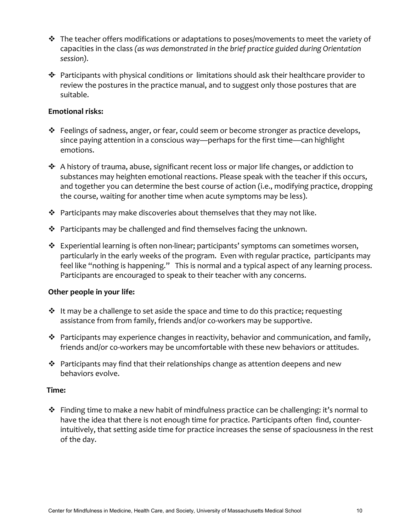- $\clubsuit$  The teacher offers modifications or adaptations to poses/movements to meet the variety of capacities in the class (as was demonstrated in the brief practice guided during Orientation *session).*
- $\div$  Participants with physical conditions or limitations should ask their healthcare provider to review the postures in the practice manual, and to suggest only those postures that are suitable.

### **Emotional risks:**

- $\cdot$  Feelings of sadness, anger, or fear, could seem or become stronger as practice develops, since paying attention in a conscious way—perhaps for the first time—can highlight emotions.
- $\div$  A history of trauma, abuse, significant recent loss or major life changes, or addiction to substances may heighten emotional reactions. Please speak with the teacher if this occurs, and together you can determine the best course of action (i.e., modifying practice, dropping the course, waiting for another time when acute symptoms may be less).
- $\clubsuit$  Participants may make discoveries about themselves that they may not like.
- $\cdot$  Participants may be challenged and find themselves facing the unknown.
- $\cdot$  Experiential learning is often non-linear; participants' symptoms can sometimes worsen, particularly in the early weeks of the program. Even with regular practice, participants may feel like "nothing is happening." This is normal and a typical aspect of any learning process. Participants are encouraged to speak to their teacher with any concerns.

#### **Other people in your life:**

- $\cdot$  It may be a challenge to set aside the space and time to do this practice; requesting assistance from from family, friends and/or co-workers may be supportive.
- $\cdot \cdot$  Participants may experience changes in reactivity, behavior and communication, and family, friends and/or co-workers may be uncomfortable with these new behaviors or attitudes.
- $\cdot$  Participants may find that their relationships change as attention deepens and new behaviors evolve.

#### Time:

 $\cdot$  Finding time to make a new habit of mindfulness practice can be challenging: it's normal to have the idea that there is not enough time for practice. Participants often find, counterintuitively, that setting aside time for practice increases the sense of spaciousness in the rest of the day.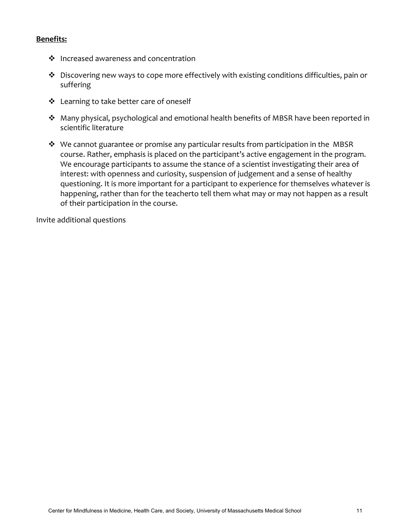### **Benefits:**

- $\cdot$  Increased awareness and concentration
- $\cdot$  Discovering new ways to cope more effectively with existing conditions difficulties, pain or suffering
- ❖ Learning to take better care of oneself
- \* Many physical, psychological and emotional health benefits of MBSR have been reported in scientific literature
- $\cdot$  We cannot guarantee or promise any particular results from participation in the MBSR course. Rather, emphasis is placed on the participant's active engagement in the program. We encourage participants to assume the stance of a scientist investigating their area of interest: with openness and curiosity, suspension of judgement and a sense of healthy questioning. It is more important for a participant to experience for themselves whatever is happening, rather than for the teacherto tell them what may or may not happen as a result of their participation in the course.

Invite additional questions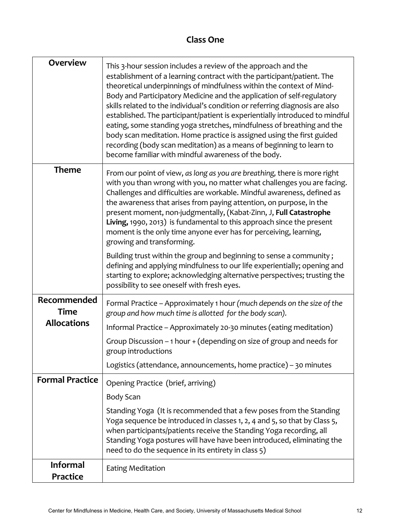### **Class One**

| <b>Overview</b>                    | This 3-hour session includes a review of the approach and the<br>establishment of a learning contract with the participant/patient. The<br>theoretical underpinnings of mindfulness within the context of Mind-<br>Body and Participatory Medicine and the application of self-regulatory<br>skills related to the individual's condition or referring diagnosis are also<br>established. The participant/patient is experientially introduced to mindful<br>eating, some standing yoga stretches, mindfulness of breathing and the<br>body scan meditation. Home practice is assigned using the first guided<br>recording (body scan meditation) as a means of beginning to learn to<br>become familiar with mindful awareness of the body. |
|------------------------------------|----------------------------------------------------------------------------------------------------------------------------------------------------------------------------------------------------------------------------------------------------------------------------------------------------------------------------------------------------------------------------------------------------------------------------------------------------------------------------------------------------------------------------------------------------------------------------------------------------------------------------------------------------------------------------------------------------------------------------------------------|
| <b>Theme</b>                       | From our point of view, as long as you are breathing, there is more right<br>with you than wrong with you, no matter what challenges you are facing.<br>Challenges and difficulties are workable. Mindful awareness, defined as<br>the awareness that arises from paying attention, on purpose, in the<br>present moment, non-judgmentally, (Kabat-Zinn, J, Full Catastrophe<br>Living, 1990, 2013) is fundamental to this approach since the present<br>moment is the only time anyone ever has for perceiving, learning,<br>growing and transforming.                                                                                                                                                                                      |
|                                    | Building trust within the group and beginning to sense a community;<br>defining and applying mindfulness to our life experientially; opening and<br>starting to explore; acknowledging alternative perspectives; trusting the<br>possibility to see oneself with fresh eyes.                                                                                                                                                                                                                                                                                                                                                                                                                                                                 |
| Recommended<br><b>Time</b>         | Formal Practice - Approximately 1 hour (much depends on the size of the<br>group and how much time is allotted for the body scan).                                                                                                                                                                                                                                                                                                                                                                                                                                                                                                                                                                                                           |
| <b>Allocations</b>                 | Informal Practice - Approximately 20-30 minutes (eating meditation)                                                                                                                                                                                                                                                                                                                                                                                                                                                                                                                                                                                                                                                                          |
|                                    | Group Discussion $-1$ hour $+$ (depending on size of group and needs for<br>group introductions                                                                                                                                                                                                                                                                                                                                                                                                                                                                                                                                                                                                                                              |
|                                    | Logistics (attendance, announcements, home practice) - 30 minutes                                                                                                                                                                                                                                                                                                                                                                                                                                                                                                                                                                                                                                                                            |
| <b>Formal Practice</b>             | Opening Practice (brief, arriving)                                                                                                                                                                                                                                                                                                                                                                                                                                                                                                                                                                                                                                                                                                           |
|                                    | <b>Body Scan</b>                                                                                                                                                                                                                                                                                                                                                                                                                                                                                                                                                                                                                                                                                                                             |
|                                    | Standing Yoga (It is recommended that a few poses from the Standing<br>Yoga sequence be introduced in classes 1, 2, 4 and 5, so that by Class 5,<br>when participants/patients receive the Standing Yoga recording, all<br>Standing Yoga postures will have have been introduced, eliminating the<br>need to do the sequence in its entirety in class 5)                                                                                                                                                                                                                                                                                                                                                                                     |
| <b>Informal</b><br><b>Practice</b> | <b>Eating Meditation</b>                                                                                                                                                                                                                                                                                                                                                                                                                                                                                                                                                                                                                                                                                                                     |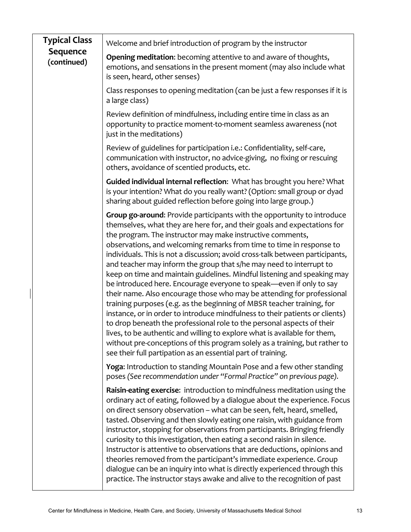| <b>Typical Class</b>           | Welcome and brief introduction of program by the instructor                                                                                                                                                                                                                                                                                                                                                                                                                                                                                                                                                                                                                                                                                                                                                                                                                                                                                                                                                                                                                                                                                    |
|--------------------------------|------------------------------------------------------------------------------------------------------------------------------------------------------------------------------------------------------------------------------------------------------------------------------------------------------------------------------------------------------------------------------------------------------------------------------------------------------------------------------------------------------------------------------------------------------------------------------------------------------------------------------------------------------------------------------------------------------------------------------------------------------------------------------------------------------------------------------------------------------------------------------------------------------------------------------------------------------------------------------------------------------------------------------------------------------------------------------------------------------------------------------------------------|
| <b>Sequence</b><br>(continued) | Opening meditation: becoming attentive to and aware of thoughts,<br>emotions, and sensations in the present moment (may also include what<br>is seen, heard, other senses)                                                                                                                                                                                                                                                                                                                                                                                                                                                                                                                                                                                                                                                                                                                                                                                                                                                                                                                                                                     |
|                                | Class responses to opening meditation (can be just a few responses if it is<br>a large class)                                                                                                                                                                                                                                                                                                                                                                                                                                                                                                                                                                                                                                                                                                                                                                                                                                                                                                                                                                                                                                                  |
|                                | Review definition of mindfulness, including entire time in class as an<br>opportunity to practice moment-to-moment seamless awareness (not<br>just in the meditations)                                                                                                                                                                                                                                                                                                                                                                                                                                                                                                                                                                                                                                                                                                                                                                                                                                                                                                                                                                         |
|                                | Review of guidelines for participation i.e.: Confidentiality, self-care,<br>communication with instructor, no advice-giving, no fixing or rescuing<br>others, avoidance of scentied products, etc.                                                                                                                                                                                                                                                                                                                                                                                                                                                                                                                                                                                                                                                                                                                                                                                                                                                                                                                                             |
|                                | Guided individual internal reflection: What has brought you here? What<br>is your intention? What do you really want? (Option: small group or dyad<br>sharing about guided reflection before going into large group.)                                                                                                                                                                                                                                                                                                                                                                                                                                                                                                                                                                                                                                                                                                                                                                                                                                                                                                                          |
|                                | Group go-around: Provide participants with the opportunity to introduce<br>themselves, what they are here for, and their goals and expectations for<br>the program. The instructor may make instructive comments,<br>observations, and welcoming remarks from time to time in response to<br>individuals. This is not a discussion; avoid cross-talk between participants,<br>and teacher may inform the group that s/he may need to interrupt to<br>keep on time and maintain guidelines. Mindful listening and speaking may<br>be introduced here. Encourage everyone to speak—even if only to say<br>their name. Also encourage those who may be attending for professional<br>training purposes (e.g. as the beginning of MBSR teacher training, for<br>instance, or in order to introduce mindfulness to their patients or clients)<br>to drop beneath the professional role to the personal aspects of their<br>lives, to be authentic and willing to explore what is available for them,<br>without pre-conceptions of this program solely as a training, but rather to<br>see their full partipation as an essential part of training. |
|                                | Yoga: Introduction to standing Mountain Pose and a few other standing<br>poses (See recommendation under "Formal Practice" on previous page).                                                                                                                                                                                                                                                                                                                                                                                                                                                                                                                                                                                                                                                                                                                                                                                                                                                                                                                                                                                                  |
|                                | Raisin-eating exercise: introduction to mindfulness meditation using the<br>ordinary act of eating, followed by a dialogue about the experience. Focus<br>on direct sensory observation - what can be seen, felt, heard, smelled,<br>tasted. Observing and then slowly eating one raisin, with guidance from<br>instructor, stopping for observations from participants. Bringing friendly<br>curiosity to this investigation, then eating a second raisin in silence.<br>Instructor is attentive to observations that are deductions, opinions and<br>theories removed from the participant's immediate experience. Group<br>dialogue can be an inquiry into what is directly experienced through this<br>practice. The instructor stays awake and alive to the recognition of past                                                                                                                                                                                                                                                                                                                                                           |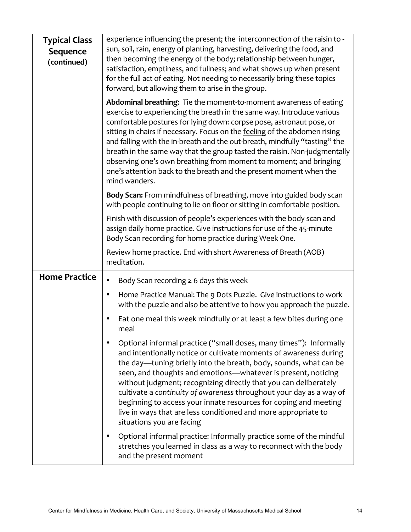| <b>Typical Class</b><br><b>Sequence</b><br>(continued) | experience influencing the present; the interconnection of the raisin to -<br>sun, soil, rain, energy of planting, harvesting, delivering the food, and<br>then becoming the energy of the body; relationship between hunger,<br>satisfaction, emptiness, and fullness; and what shows up when present<br>for the full act of eating. Not needing to necessarily bring these topics<br>forward, but allowing them to arise in the group.                                                                                                                                                                                 |
|--------------------------------------------------------|--------------------------------------------------------------------------------------------------------------------------------------------------------------------------------------------------------------------------------------------------------------------------------------------------------------------------------------------------------------------------------------------------------------------------------------------------------------------------------------------------------------------------------------------------------------------------------------------------------------------------|
|                                                        | Abdominal breathing: Tie the moment-to-moment awareness of eating<br>exercise to experiencing the breath in the same way. Introduce various<br>comfortable postures for lying down: corpse pose, astronaut pose, or<br>sitting in chairs if necessary. Focus on the feeling of the abdomen rising<br>and falling with the in-breath and the out-breath, mindfully "tasting" the<br>breath in the same way that the group tasted the raisin. Non-judgmentally<br>observing one's own breathing from moment to moment; and bringing<br>one's attention back to the breath and the present moment when the<br>mind wanders. |
|                                                        | Body Scan: From mindfulness of breathing, move into guided body scan<br>with people continuing to lie on floor or sitting in comfortable position.                                                                                                                                                                                                                                                                                                                                                                                                                                                                       |
|                                                        | Finish with discussion of people's experiences with the body scan and<br>assign daily home practice. Give instructions for use of the 45-minute<br>Body Scan recording for home practice during Week One.                                                                                                                                                                                                                                                                                                                                                                                                                |
|                                                        | Review home practice. End with short Awareness of Breath (AOB)<br>meditation.                                                                                                                                                                                                                                                                                                                                                                                                                                                                                                                                            |
| <b>Home Practice</b>                                   | Body Scan recording $\geq 6$ days this week<br>$\bullet$                                                                                                                                                                                                                                                                                                                                                                                                                                                                                                                                                                 |
|                                                        | Home Practice Manual: The 9 Dots Puzzle. Give instructions to work<br>٠<br>with the puzzle and also be attentive to how you approach the puzzle.                                                                                                                                                                                                                                                                                                                                                                                                                                                                         |
|                                                        | Eat one meal this week mindfully or at least a few bites during one<br>٠<br>meal                                                                                                                                                                                                                                                                                                                                                                                                                                                                                                                                         |
|                                                        | Optional informal practice ("small doses, many times"): Informally<br>and intentionally notice or cultivate moments of awareness during<br>the day-tuning briefly into the breath, body, sounds, what can be<br>seen, and thoughts and emotions-whatever is present, noticing<br>without judgment; recognizing directly that you can deliberately<br>cultivate a continuity of awareness throughout your day as a way of<br>beginning to access your innate resources for coping and meeting<br>live in ways that are less conditioned and more appropriate to<br>situations you are facing                              |
|                                                        | Optional informal practice: Informally practice some of the mindful<br>$\bullet$<br>stretches you learned in class as a way to reconnect with the body<br>and the present moment                                                                                                                                                                                                                                                                                                                                                                                                                                         |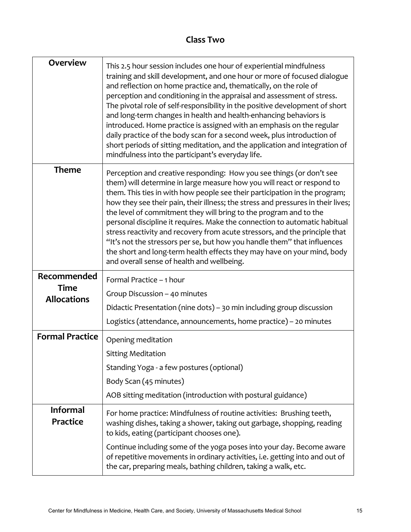# **Class Two**

| <b>Overview</b>                    | This 2.5 hour session includes one hour of experiential mindfulness<br>training and skill development, and one hour or more of focused dialogue<br>and reflection on home practice and, thematically, on the role of<br>perception and conditioning in the appraisal and assessment of stress.<br>The pivotal role of self-responsibility in the positive development of short<br>and long-term changes in health and health-enhancing behaviors is<br>introduced. Home practice is assigned with an emphasis on the regular<br>daily practice of the body scan for a second week, plus introduction of<br>short periods of sitting meditation, and the application and integration of<br>mindfulness into the participant's everyday life.             |
|------------------------------------|---------------------------------------------------------------------------------------------------------------------------------------------------------------------------------------------------------------------------------------------------------------------------------------------------------------------------------------------------------------------------------------------------------------------------------------------------------------------------------------------------------------------------------------------------------------------------------------------------------------------------------------------------------------------------------------------------------------------------------------------------------|
| <b>Theme</b>                       | Perception and creative responding: How you see things (or don't see<br>them) will determine in large measure how you will react or respond to<br>them. This ties in with how people see their participation in the program;<br>how they see their pain, their illness; the stress and pressures in their lives;<br>the level of commitment they will bring to the program and to the<br>personal discipline it requires. Make the connection to automatic habitual<br>stress reactivity and recovery from acute stressors, and the principle that<br>"It's not the stressors per se, but how you handle them" that influences<br>the short and long-term health effects they may have on your mind, body<br>and overall sense of health and wellbeing. |
| Recommended                        | Formal Practice - 1 hour                                                                                                                                                                                                                                                                                                                                                                                                                                                                                                                                                                                                                                                                                                                                |
| <b>Time</b><br><b>Allocations</b>  | Group Discussion - 40 minutes                                                                                                                                                                                                                                                                                                                                                                                                                                                                                                                                                                                                                                                                                                                           |
|                                    | Didactic Presentation (nine dots) - 30 min including group discussion                                                                                                                                                                                                                                                                                                                                                                                                                                                                                                                                                                                                                                                                                   |
|                                    | Logistics (attendance, announcements, home practice) - 20 minutes                                                                                                                                                                                                                                                                                                                                                                                                                                                                                                                                                                                                                                                                                       |
| <b>Formal Practice</b>             | Opening meditation                                                                                                                                                                                                                                                                                                                                                                                                                                                                                                                                                                                                                                                                                                                                      |
|                                    | <b>Sitting Meditation</b>                                                                                                                                                                                                                                                                                                                                                                                                                                                                                                                                                                                                                                                                                                                               |
|                                    | Standing Yoga - a few postures (optional)                                                                                                                                                                                                                                                                                                                                                                                                                                                                                                                                                                                                                                                                                                               |
|                                    | Body Scan (45 minutes)                                                                                                                                                                                                                                                                                                                                                                                                                                                                                                                                                                                                                                                                                                                                  |
|                                    | AOB sitting meditation (introduction with postural guidance)                                                                                                                                                                                                                                                                                                                                                                                                                                                                                                                                                                                                                                                                                            |
| <b>Informal</b><br><b>Practice</b> | For home practice: Mindfulness of routine activities: Brushing teeth,<br>washing dishes, taking a shower, taking out garbage, shopping, reading<br>to kids, eating (participant chooses one).                                                                                                                                                                                                                                                                                                                                                                                                                                                                                                                                                           |
|                                    |                                                                                                                                                                                                                                                                                                                                                                                                                                                                                                                                                                                                                                                                                                                                                         |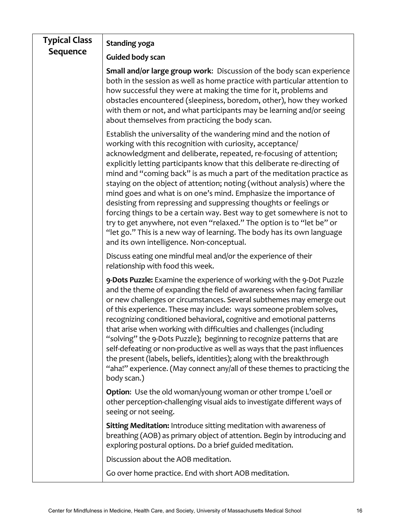| <b>Typical Class</b> | Standing yoga                                                                                                                                                                                                                                                                                                                                                                                                                                                                                                                                                                                                                                                                                                                                                                                                                                               |
|----------------------|-------------------------------------------------------------------------------------------------------------------------------------------------------------------------------------------------------------------------------------------------------------------------------------------------------------------------------------------------------------------------------------------------------------------------------------------------------------------------------------------------------------------------------------------------------------------------------------------------------------------------------------------------------------------------------------------------------------------------------------------------------------------------------------------------------------------------------------------------------------|
| Sequence             | <b>Guided body scan</b>                                                                                                                                                                                                                                                                                                                                                                                                                                                                                                                                                                                                                                                                                                                                                                                                                                     |
|                      | Small and/or large group work: Discussion of the body scan experience<br>both in the session as well as home practice with particular attention to<br>how successful they were at making the time for it, problems and<br>obstacles encountered (sleepiness, boredom, other), how they worked<br>with them or not, and what participants may be learning and/or seeing<br>about themselves from practicing the body scan.                                                                                                                                                                                                                                                                                                                                                                                                                                   |
|                      | Establish the universality of the wandering mind and the notion of<br>working with this recognition with curiosity, acceptance/<br>acknowledgment and deliberate, repeated, re-focusing of attention;<br>explicitly letting participants know that this deliberate re-directing of<br>mind and "coming back" is as much a part of the meditation practice as<br>staying on the object of attention; noting (without analysis) where the<br>mind goes and what is on one's mind. Emphasize the importance of<br>desisting from repressing and suppressing thoughts or feelings or<br>forcing things to be a certain way. Best way to get somewhere is not to<br>try to get anywhere, not even "relaxed." The option is to "let be" or<br>"let go." This is a new way of learning. The body has its own language<br>and its own intelligence. Non-conceptual. |
|                      | Discuss eating one mindful meal and/or the experience of their<br>relationship with food this week.                                                                                                                                                                                                                                                                                                                                                                                                                                                                                                                                                                                                                                                                                                                                                         |
|                      | 9-Dots Puzzle: Examine the experience of working with the 9-Dot Puzzle<br>and the theme of expanding the field of awareness when facing familiar<br>or new challenges or circumstances. Several subthemes may emerge out<br>of this experience. These may include: ways someone problem solves,<br>recognizing conditioned behavioral, cognitive and emotional patterns<br>that arise when working with difficulties and challenges (including<br>"solving" the 9-Dots Puzzle); beginning to recognize patterns that are<br>self-defeating or non-productive as well as ways that the past influences<br>the present (labels, beliefs, identities); along with the breakthrough<br>"aha!" experience. (May connect any/all of these themes to practicing the<br>body scan.)                                                                                 |
|                      | Option: Use the old woman/young woman or other trompe L'oeil or<br>other perception-challenging visual aids to investigate different ways of<br>seeing or not seeing.                                                                                                                                                                                                                                                                                                                                                                                                                                                                                                                                                                                                                                                                                       |
|                      | <b>Sitting Meditation:</b> Introduce sitting meditation with awareness of<br>breathing (AOB) as primary object of attention. Begin by introducing and<br>exploring postural options. Do a brief guided meditation.                                                                                                                                                                                                                                                                                                                                                                                                                                                                                                                                                                                                                                          |
|                      | Discussion about the AOB meditation.                                                                                                                                                                                                                                                                                                                                                                                                                                                                                                                                                                                                                                                                                                                                                                                                                        |
|                      | Go over home practice. End with short AOB meditation.                                                                                                                                                                                                                                                                                                                                                                                                                                                                                                                                                                                                                                                                                                                                                                                                       |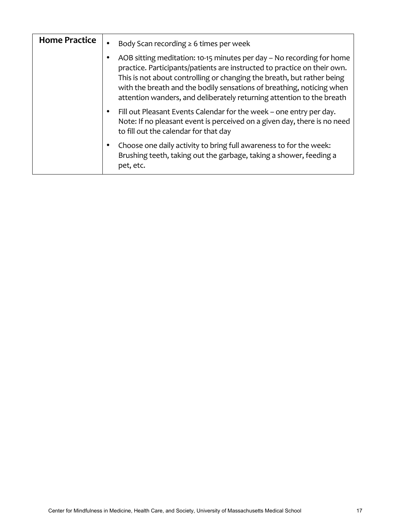| <b>Home Practice</b> | Body Scan recording $\geq 6$ times per week<br>$\bullet$                                                                                                                                                                                                                                                                                                                           |
|----------------------|------------------------------------------------------------------------------------------------------------------------------------------------------------------------------------------------------------------------------------------------------------------------------------------------------------------------------------------------------------------------------------|
|                      | AOB sitting meditation: 10-15 minutes per day - No recording for home<br>٠<br>practice. Participants/patients are instructed to practice on their own.<br>This is not about controlling or changing the breath, but rather being<br>with the breath and the bodily sensations of breathing, noticing when<br>attention wanders, and deliberately returning attention to the breath |
|                      | Fill out Pleasant Events Calendar for the week – one entry per day.<br>$\bullet$<br>Note: If no pleasant event is perceived on a given day, there is no need<br>to fill out the calendar for that day                                                                                                                                                                              |
|                      | Choose one daily activity to bring full awareness to for the week:<br>٠<br>Brushing teeth, taking out the garbage, taking a shower, feeding a<br>pet, etc.                                                                                                                                                                                                                         |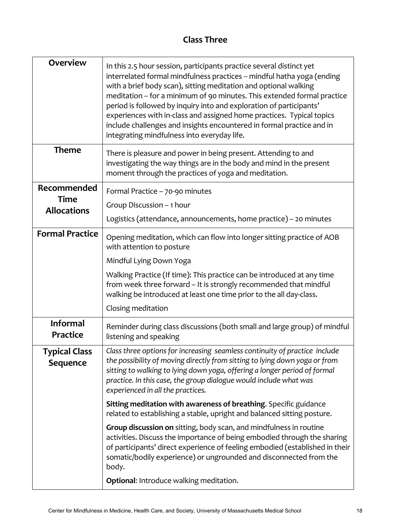# **Class Three**

| <b>Overview</b>                    | In this 2.5 hour session, participants practice several distinct yet<br>interrelated formal mindfulness practices -- mindful hatha yoga (ending<br>with a brief body scan), sitting meditation and optional walking<br>meditation -- for a minimum of 90 minutes. This extended formal practice<br>period is followed by inquiry into and exploration of participants'<br>experiences with in-class and assigned home practices. Typical topics<br>include challenges and insights encountered in formal practice and in<br>integrating mindfulness into everyday life. |
|------------------------------------|-------------------------------------------------------------------------------------------------------------------------------------------------------------------------------------------------------------------------------------------------------------------------------------------------------------------------------------------------------------------------------------------------------------------------------------------------------------------------------------------------------------------------------------------------------------------------|
| <b>Theme</b>                       | There is pleasure and power in being present. Attending to and<br>investigating the way things are in the body and mind in the present<br>moment through the practices of yoga and meditation.                                                                                                                                                                                                                                                                                                                                                                          |
| Recommended<br><b>Time</b>         | Formal Practice - 70-90 minutes                                                                                                                                                                                                                                                                                                                                                                                                                                                                                                                                         |
| <b>Allocations</b>                 | Group Discussion - 1 hour                                                                                                                                                                                                                                                                                                                                                                                                                                                                                                                                               |
|                                    | Logistics (attendance, announcements, home practice) - 20 minutes                                                                                                                                                                                                                                                                                                                                                                                                                                                                                                       |
| <b>Formal Practice</b>             | Opening meditation, which can flow into longer sitting practice of AOB<br>with attention to posture                                                                                                                                                                                                                                                                                                                                                                                                                                                                     |
|                                    | Mindful Lying Down Yoga                                                                                                                                                                                                                                                                                                                                                                                                                                                                                                                                                 |
|                                    | Walking Practice (If time): This practice can be introduced at any time<br>from week three forward - It is strongly recommended that mindful<br>walking be introduced at least one time prior to the all day-class.                                                                                                                                                                                                                                                                                                                                                     |
|                                    | Closing meditation                                                                                                                                                                                                                                                                                                                                                                                                                                                                                                                                                      |
| <b>Informal</b><br><b>Practice</b> | Reminder during class discussions (both small and large group) of mindful<br>listening and speaking                                                                                                                                                                                                                                                                                                                                                                                                                                                                     |
| <b>Typical Class</b><br>Sequence   | Class three options for increasing seamless continuity of practice include<br>the possibility of moving directly from sitting to lying down yoga or from<br>sitting to walking to lying down yoga, offering a longer period of formal<br>practice. In this case, the group dialogue would include what was<br>experienced in all the practices.                                                                                                                                                                                                                         |
|                                    | Sitting meditation with awareness of breathing. Specific guidance<br>related to establishing a stable, upright and balanced sitting posture.                                                                                                                                                                                                                                                                                                                                                                                                                            |
|                                    | Group discussion on sitting, body scan, and mindfulness in routine<br>activities. Discuss the importance of being embodied through the sharing<br>of participants' direct experience of feeling embodied (established in their<br>somatic/bodily experience) or ungrounded and disconnected from the<br>body.                                                                                                                                                                                                                                                           |
|                                    | Optional: Introduce walking meditation.                                                                                                                                                                                                                                                                                                                                                                                                                                                                                                                                 |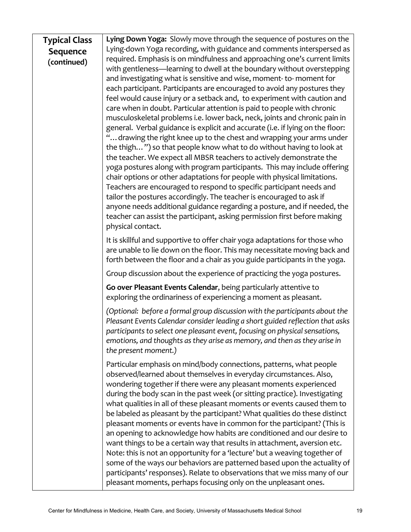| <b>Typical Class</b> | Lying Down Yoga: Slowly move through the sequence of postures on the                                                                                    |
|----------------------|---------------------------------------------------------------------------------------------------------------------------------------------------------|
| Sequence             | Lying-down Yoga recording, with guidance and comments interspersed as                                                                                   |
| (continued)          | required. Emphasis is on mindfulness and approaching one's current limits                                                                               |
|                      | with gentleness-learning to dwell at the boundary without overstepping                                                                                  |
|                      | and investigating what is sensitive and wise, moment-to-moment for                                                                                      |
|                      | each participant. Participants are encouraged to avoid any postures they                                                                                |
|                      | feel would cause injury or a setback and, to experiment with caution and                                                                                |
|                      | care when in doubt. Particular attention is paid to people with chronic                                                                                 |
|                      | musculoskeletal problems i.e. lower back, neck, joints and chronic pain in                                                                              |
|                      | general. Verbal guidance is explicit and accurate (i.e. if lying on the floor:<br>" drawing the right knee up to the chest and wrapping your arms under |
|                      | the thigh") so that people know what to do without having to look at                                                                                    |
|                      | the teacher. We expect all MBSR teachers to actively demonstrate the                                                                                    |
|                      | yoga postures along with program participants. This may include offering                                                                                |
|                      | chair options or other adaptations for people with physical limitations.                                                                                |
|                      | Teachers are encouraged to respond to specific participant needs and                                                                                    |
|                      | tailor the postures accordingly. The teacher is encouraged to ask if                                                                                    |
|                      | anyone needs additional guidance regarding a posture, and if needed, the                                                                                |
|                      | teacher can assist the participant, asking permission first before making                                                                               |
|                      | physical contact.                                                                                                                                       |
|                      | It is skillful and supportive to offer chair yoga adaptations for those who                                                                             |
|                      | are unable to lie down on the floor. This may necessitate moving back and                                                                               |
|                      | forth between the floor and a chair as you guide participants in the yoga.                                                                              |
|                      | Group discussion about the experience of practicing the yoga postures.                                                                                  |
|                      | Go over Pleasant Events Calendar, being particularly attentive to                                                                                       |
|                      | exploring the ordinariness of experiencing a moment as pleasant.                                                                                        |
|                      | (Optional: before a formal group discussion with the participants about the                                                                             |
|                      | Pleasant Events Calendar consider leading a short guided reflection that asks                                                                           |
|                      | participants to select one pleasant event, focusing on physical sensations,                                                                             |
|                      | emotions, and thoughts as they arise as memory, and then as they arise in<br>the present moment.)                                                       |
|                      |                                                                                                                                                         |
|                      | Particular emphasis on mind/body connections, patterns, what people                                                                                     |
|                      | observed/learned about themselves in everyday circumstances. Also,<br>wondering together if there were any pleasant moments experienced                 |
|                      | during the body scan in the past week (or sitting practice). Investigating                                                                              |
|                      | what qualities in all of these pleasant moments or events caused them to                                                                                |
|                      | be labeled as pleasant by the participant? What qualities do these distinct                                                                             |
|                      | pleasant moments or events have in common for the participant? (This is                                                                                 |
|                      | an opening to acknowledge how habits are conditioned and our desire to                                                                                  |
|                      | want things to be a certain way that results in attachment, aversion etc.                                                                               |
|                      | Note: this is not an opportunity for a 'lecture' but a weaving together of                                                                              |
|                      | some of the ways our behaviors are patterned based upon the actuality of                                                                                |
|                      | participants' responses). Relate to observations that we miss many of our                                                                               |
|                      | pleasant moments, perhaps focusing only on the unpleasant ones.                                                                                         |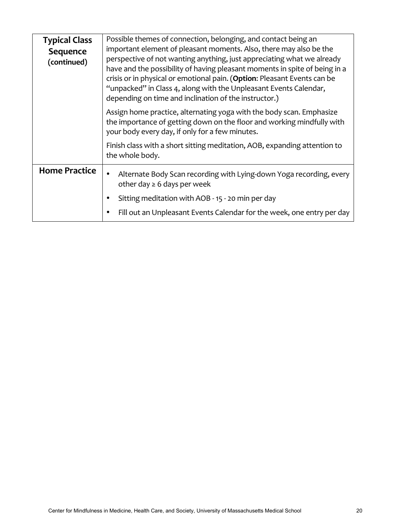| <b>Typical Class</b><br>Sequence<br>(continued) | Possible themes of connection, belonging, and contact being an<br>important element of pleasant moments. Also, there may also be the<br>perspective of not wanting anything, just appreciating what we already<br>have and the possibility of having pleasant moments in spite of being in a<br>crisis or in physical or emotional pain. (Option: Pleasant Events can be<br>"unpacked" in Class 4, along with the Unpleasant Events Calendar,<br>depending on time and inclination of the instructor.) |
|-------------------------------------------------|--------------------------------------------------------------------------------------------------------------------------------------------------------------------------------------------------------------------------------------------------------------------------------------------------------------------------------------------------------------------------------------------------------------------------------------------------------------------------------------------------------|
|                                                 | Assign home practice, alternating yoga with the body scan. Emphasize<br>the importance of getting down on the floor and working mindfully with<br>your body every day, if only for a few minutes.                                                                                                                                                                                                                                                                                                      |
|                                                 | Finish class with a short sitting meditation, AOB, expanding attention to<br>the whole body.                                                                                                                                                                                                                                                                                                                                                                                                           |
| <b>Home Practice</b>                            | Alternate Body Scan recording with Lying-down Yoga recording, every<br>$\bullet$<br>other day $\geq 6$ days per week                                                                                                                                                                                                                                                                                                                                                                                   |
|                                                 | Sitting meditation with AOB - 15 - 20 min per day<br>$\bullet$                                                                                                                                                                                                                                                                                                                                                                                                                                         |
|                                                 | Fill out an Unpleasant Events Calendar for the week, one entry per day                                                                                                                                                                                                                                                                                                                                                                                                                                 |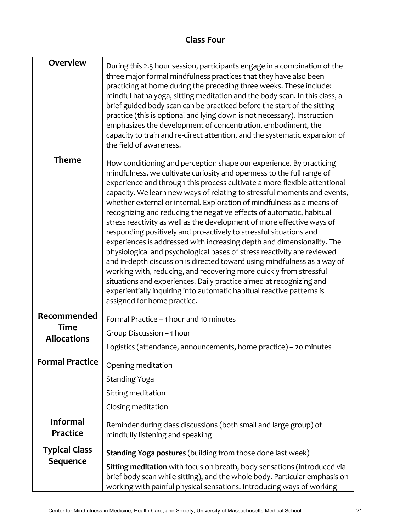# **Class Four**

| <b>Overview</b>                    | During this 2.5 hour session, participants engage in a combination of the<br>three major formal mindfulness practices that they have also been<br>practicing at home during the preceding three weeks. These include:<br>mindful hatha yoga, sitting meditation and the body scan. In this class, a<br>brief guided body scan can be practiced before the start of the sitting<br>practice (this is optional and lying down is not necessary). Instruction<br>emphasizes the development of concentration, embodiment, the<br>capacity to train and re-direct attention, and the systematic expansion of<br>the field of awareness.                                                                                                                                                                                                                                                                                                                                                                                                                                                           |
|------------------------------------|-----------------------------------------------------------------------------------------------------------------------------------------------------------------------------------------------------------------------------------------------------------------------------------------------------------------------------------------------------------------------------------------------------------------------------------------------------------------------------------------------------------------------------------------------------------------------------------------------------------------------------------------------------------------------------------------------------------------------------------------------------------------------------------------------------------------------------------------------------------------------------------------------------------------------------------------------------------------------------------------------------------------------------------------------------------------------------------------------|
| <b>Theme</b>                       | How conditioning and perception shape our experience. By practicing<br>mindfulness, we cultivate curiosity and openness to the full range of<br>experience and through this process cultivate a more flexible attentional<br>capacity. We learn new ways of relating to stressful moments and events,<br>whether external or internal. Exploration of mindfulness as a means of<br>recognizing and reducing the negative effects of automatic, habitual<br>stress reactivity as well as the development of more effective ways of<br>responding positively and pro-actively to stressful situations and<br>experiences is addressed with increasing depth and dimensionality. The<br>physiological and psychological bases of stress reactivity are reviewed<br>and in-depth discussion is directed toward using mindfulness as a way of<br>working with, reducing, and recovering more quickly from stressful<br>situations and experiences. Daily practice aimed at recognizing and<br>experientially inquiring into automatic habitual reactive patterns is<br>assigned for home practice. |
| Recommended                        | Formal Practice - 1 hour and 10 minutes                                                                                                                                                                                                                                                                                                                                                                                                                                                                                                                                                                                                                                                                                                                                                                                                                                                                                                                                                                                                                                                       |
| <b>Time</b><br><b>Allocations</b>  | Group Discussion - 1 hour                                                                                                                                                                                                                                                                                                                                                                                                                                                                                                                                                                                                                                                                                                                                                                                                                                                                                                                                                                                                                                                                     |
|                                    | Logistics (attendance, announcements, home practice) - 20 minutes                                                                                                                                                                                                                                                                                                                                                                                                                                                                                                                                                                                                                                                                                                                                                                                                                                                                                                                                                                                                                             |
| <b>Formal Practice</b>             | Opening meditation                                                                                                                                                                                                                                                                                                                                                                                                                                                                                                                                                                                                                                                                                                                                                                                                                                                                                                                                                                                                                                                                            |
|                                    | <b>Standing Yoga</b>                                                                                                                                                                                                                                                                                                                                                                                                                                                                                                                                                                                                                                                                                                                                                                                                                                                                                                                                                                                                                                                                          |
|                                    | Sitting meditation                                                                                                                                                                                                                                                                                                                                                                                                                                                                                                                                                                                                                                                                                                                                                                                                                                                                                                                                                                                                                                                                            |
|                                    | Closing meditation                                                                                                                                                                                                                                                                                                                                                                                                                                                                                                                                                                                                                                                                                                                                                                                                                                                                                                                                                                                                                                                                            |
| <b>Informal</b><br><b>Practice</b> | Reminder during class discussions (both small and large group) of<br>mindfully listening and speaking                                                                                                                                                                                                                                                                                                                                                                                                                                                                                                                                                                                                                                                                                                                                                                                                                                                                                                                                                                                         |
| <b>Typical Class</b>               | <b>Standing Yoga postures (building from those done last week)</b>                                                                                                                                                                                                                                                                                                                                                                                                                                                                                                                                                                                                                                                                                                                                                                                                                                                                                                                                                                                                                            |
| <b>Sequence</b>                    | Sitting meditation with focus on breath, body sensations (introduced via<br>brief body scan while sitting), and the whole body. Particular emphasis on<br>working with painful physical sensations. Introducing ways of working                                                                                                                                                                                                                                                                                                                                                                                                                                                                                                                                                                                                                                                                                                                                                                                                                                                               |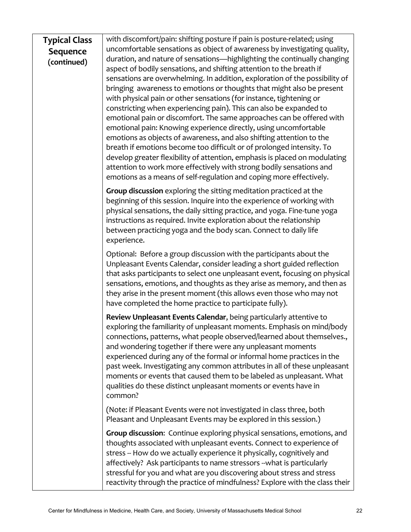#### **Typical Class Sequence (continued)** with discomfort/pain: shifting posture if pain is posture-related; using uncomfortable sensations as object of awareness by investigating quality, duration, and nature of sensations—highlighting the continually changing aspect of bodily sensations, and shifting attention to the breath if sensations are overwhelming. In addition, exploration of the possibility of bringing awareness to emotions or thoughts that might also be present

with physical pain or other sensations (for instance, tightening or constricting when experiencing pain). This can also be expanded to emotional pain or discomfort. The same approaches can be offered with emotional pain: Knowing experience directly, using uncomfortable emotions as objects of awareness, and also shifting attention to the breath if emotions become too difficult or of prolonged intensity. To develop greater flexibility of attention, emphasis is placed on modulating attention to work more effectively with strong bodily sensations and emotions as a means of self-regulation and coping more effectively.

**Group discussion** exploring the sitting meditation practiced at the beginning of this session. Inquire into the experience of working with physical sensations, the daily sitting practice, and yoga. Fine-tune yoga instructions as required. Invite exploration about the relationship between practicing yoga and the body scan. Connect to daily life experience. 

Optional: Before a group discussion with the participants about the Unpleasant Events Calendar, consider leading a short guided reflection that asks participants to select one unpleasant event, focusing on physical sensations, emotions, and thoughts as they arise as memory, and then as they arise in the present moment (this allows even those who may not have completed the home practice to participate fully).

**Review Unpleasant Events Calendar, being particularly attentive to** exploring the familiarity of unpleasant moments. Emphasis on mind/body connections, patterns, what people observed/learned about themselves., and wondering together if there were any unpleasant moments experienced during any of the formal or informal home practices in the past week. Investigating any common attributes in all of these unpleasant moments or events that caused them to be labeled as unpleasant. What qualities do these distinct unpleasant moments or events have in common?

(Note: if Pleasant Events were not investigated in class three, both Pleasant and Unpleasant Events may be explored in this session.)

**Group discussion:** Continue exploring physical sensations, emotions, and thoughts associated with unpleasant events. Connect to experience of stress -- How do we actually experience it physically, cognitively and affectively? Ask participants to name stressors --what is particularly stressful for you and what are you discovering about stress and stress reactivity through the practice of mindfulness? Explore with the class their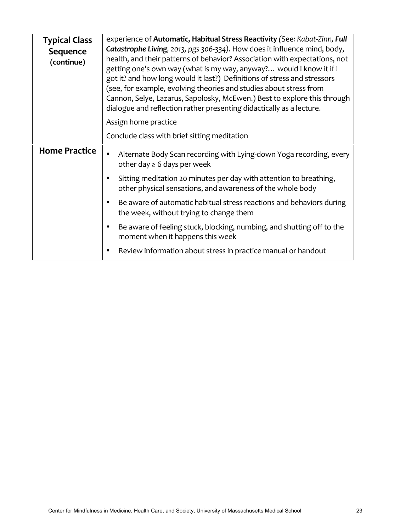| <b>Typical Class</b>   | experience of Automatic, Habitual Stress Reactivity (See: Kabat-Zinn, Full                                                                                                                                                                                                                                                                                                                                                                                                                                                           |
|------------------------|--------------------------------------------------------------------------------------------------------------------------------------------------------------------------------------------------------------------------------------------------------------------------------------------------------------------------------------------------------------------------------------------------------------------------------------------------------------------------------------------------------------------------------------|
| Sequence<br>(continue) | Catastrophe Living, 2013, pgs 306-334). How does it influence mind, body,<br>health, and their patterns of behavior? Association with expectations, not<br>getting one's own way (what is my way, anyway? would I know it if I<br>got it? and how long would it last?) Definitions of stress and stressors<br>(see, for example, evolving theories and studies about stress from<br>Cannon, Selye, Lazarus, Sapolosky, McEwen.) Best to explore this through<br>dialogue and reflection rather presenting didactically as a lecture. |
|                        | Assign home practice                                                                                                                                                                                                                                                                                                                                                                                                                                                                                                                 |
|                        | Conclude class with brief sitting meditation                                                                                                                                                                                                                                                                                                                                                                                                                                                                                         |
| <b>Home Practice</b>   | Alternate Body Scan recording with Lying-down Yoga recording, every<br>other day $\geq 6$ days per week                                                                                                                                                                                                                                                                                                                                                                                                                              |
|                        | Sitting meditation 20 minutes per day with attention to breathing,<br>other physical sensations, and awareness of the whole body                                                                                                                                                                                                                                                                                                                                                                                                     |
|                        | Be aware of automatic habitual stress reactions and behaviors during<br>the week, without trying to change them                                                                                                                                                                                                                                                                                                                                                                                                                      |
|                        | Be aware of feeling stuck, blocking, numbing, and shutting off to the<br>$\bullet$<br>moment when it happens this week                                                                                                                                                                                                                                                                                                                                                                                                               |
|                        | Review information about stress in practice manual or handout                                                                                                                                                                                                                                                                                                                                                                                                                                                                        |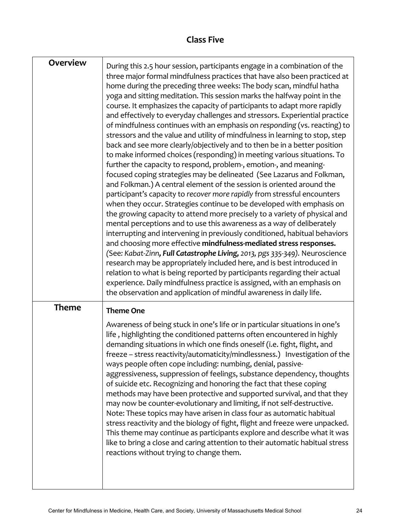# **Class Five**

**F** 

| <b>Overview</b> | During this 2.5 hour session, participants engage in a combination of the<br>three major formal mindfulness practices that have also been practiced at<br>home during the preceding three weeks: The body scan, mindful hatha<br>yoga and sitting meditation. This session marks the halfway point in the<br>course. It emphasizes the capacity of participants to adapt more rapidly<br>and effectively to everyday challenges and stressors. Experiential practice<br>of mindfulness continues with an emphasis on responding (vs. reacting) to<br>stressors and the value and utility of mindfulness in learning to stop, step<br>back and see more clearly/objectively and to then be in a better position<br>to make informed choices (responding) in meeting various situations. To<br>further the capacity to respond, problem-, emotion-, and meaning-<br>focused coping strategies may be delineated (See Lazarus and Folkman,<br>and Folkman.) A central element of the session is oriented around the<br>participant's capacity to recover more rapidly from stressful encounters<br>when they occur. Strategies continue to be developed with emphasis on<br>the growing capacity to attend more precisely to a variety of physical and<br>mental perceptions and to use this awareness as a way of deliberately<br>interrupting and intervening in previously conditioned, habitual behaviors<br>and choosing more effective mindfulness-mediated stress responses.<br>(See: Kabat-Zinn, Full Catastrophe Living, 2013, pgs 335-349). Neuroscience<br>research may be appropriately included here, and is best introduced in<br>relation to what is being reported by participants regarding their actual<br>experience. Daily mindfulness practice is assigned, with an emphasis on<br>the observation and application of mindful awareness in daily life. |
|-----------------|--------------------------------------------------------------------------------------------------------------------------------------------------------------------------------------------------------------------------------------------------------------------------------------------------------------------------------------------------------------------------------------------------------------------------------------------------------------------------------------------------------------------------------------------------------------------------------------------------------------------------------------------------------------------------------------------------------------------------------------------------------------------------------------------------------------------------------------------------------------------------------------------------------------------------------------------------------------------------------------------------------------------------------------------------------------------------------------------------------------------------------------------------------------------------------------------------------------------------------------------------------------------------------------------------------------------------------------------------------------------------------------------------------------------------------------------------------------------------------------------------------------------------------------------------------------------------------------------------------------------------------------------------------------------------------------------------------------------------------------------------------------------------------------------------------------------------------------------------------------------------|
| <b>Theme</b>    | <b>Theme One</b><br>Awareness of being stuck in one's life or in particular situations in one's<br>life, highlighting the conditioned patterns often encountered in highly<br>demanding situations in which one finds oneself (i.e. fight, flight, and<br>freeze - stress reactivity/automaticity/mindlessness.) Investigation of the<br>ways people often cope including: numbing, denial, passive-<br>aggressiveness, suppression of feelings, substance dependency, thoughts<br>of suicide etc. Recognizing and honoring the fact that these coping<br>methods may have been protective and supported survival, and that they<br>may now be counter-evolutionary and limiting, if not self-destructive.<br>Note: These topics may have arisen in class four as automatic habitual<br>stress reactivity and the biology of fight, flight and freeze were unpacked.<br>This theme may continue as participants explore and describe what it was<br>like to bring a close and caring attention to their automatic habitual stress<br>reactions without trying to change them.                                                                                                                                                                                                                                                                                                                                                                                                                                                                                                                                                                                                                                                                                                                                                                                            |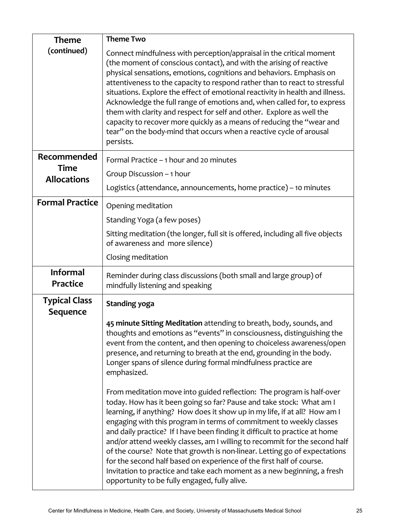| <b>Theme</b>                            | <b>Theme Two</b>                                                                                                                                                                                                                                                                                                                                                                                                                                                                                                                                                                                                     |
|-----------------------------------------|----------------------------------------------------------------------------------------------------------------------------------------------------------------------------------------------------------------------------------------------------------------------------------------------------------------------------------------------------------------------------------------------------------------------------------------------------------------------------------------------------------------------------------------------------------------------------------------------------------------------|
| (continued)                             | Connect mindfulness with perception/appraisal in the critical moment<br>(the moment of conscious contact), and with the arising of reactive<br>physical sensations, emotions, cognitions and behaviors. Emphasis on<br>attentiveness to the capacity to respond rather than to react to stressful<br>situations. Explore the effect of emotional reactivity in health and illness.<br>Acknowledge the full range of emotions and, when called for, to express                                                                                                                                                        |
|                                         | them with clarity and respect for self and other. Explore as well the<br>capacity to recover more quickly as a means of reducing the "wear and<br>tear" on the body-mind that occurs when a reactive cycle of arousal<br>persists.                                                                                                                                                                                                                                                                                                                                                                                   |
| Recommended                             | Formal Practice - 1 hour and 20 minutes                                                                                                                                                                                                                                                                                                                                                                                                                                                                                                                                                                              |
| <b>Time</b><br><b>Allocations</b>       | Group Discussion - 1 hour                                                                                                                                                                                                                                                                                                                                                                                                                                                                                                                                                                                            |
|                                         | Logistics (attendance, announcements, home practice) - 10 minutes                                                                                                                                                                                                                                                                                                                                                                                                                                                                                                                                                    |
| <b>Formal Practice</b>                  | Opening meditation                                                                                                                                                                                                                                                                                                                                                                                                                                                                                                                                                                                                   |
|                                         | Standing Yoga (a few poses)                                                                                                                                                                                                                                                                                                                                                                                                                                                                                                                                                                                          |
|                                         | Sitting meditation (the longer, full sit is offered, including all five objects<br>of awareness and more silence)                                                                                                                                                                                                                                                                                                                                                                                                                                                                                                    |
|                                         | Closing meditation                                                                                                                                                                                                                                                                                                                                                                                                                                                                                                                                                                                                   |
| <b>Informal</b><br>Practice             | Reminder during class discussions (both small and large group) of<br>mindfully listening and speaking                                                                                                                                                                                                                                                                                                                                                                                                                                                                                                                |
| <b>Typical Class</b><br><b>Sequence</b> | <b>Standing yoga</b>                                                                                                                                                                                                                                                                                                                                                                                                                                                                                                                                                                                                 |
|                                         | 45 minute Sitting Meditation attending to breath, body, sounds, and<br>thoughts and emotions as "events" in consciousness, distinguishing the<br>event from the content, and then opening to choiceless awareness/open<br>presence, and returning to breath at the end, grounding in the body.<br>Longer spans of silence during formal mindfulness practice are<br>emphasized.                                                                                                                                                                                                                                      |
|                                         | From meditation move into guided reflection: The program is half-over<br>today. How has it been going so far? Pause and take stock: What am I<br>learning, if anything? How does it show up in my life, if at all? How am I<br>engaging with this program in terms of commitment to weekly classes<br>and daily practice? If I have been finding it difficult to practice at home<br>and/or attend weekly classes, am I willing to recommit for the second half<br>of the course? Note that growth is non-linear. Letting go of expectations<br>for the second half based on experience of the first half of course. |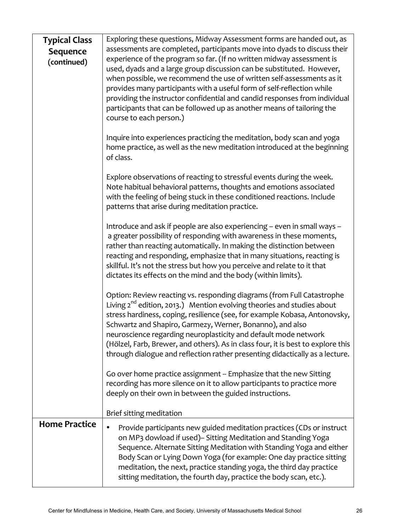| <b>Typical Class</b> | Exploring these questions, Midway Assessment forms are handed out, as                                                                                                                                                                                                                                                                                                                                                                                                                                                                   |
|----------------------|-----------------------------------------------------------------------------------------------------------------------------------------------------------------------------------------------------------------------------------------------------------------------------------------------------------------------------------------------------------------------------------------------------------------------------------------------------------------------------------------------------------------------------------------|
| Sequence             | assessments are completed, participants move into dyads to discuss their                                                                                                                                                                                                                                                                                                                                                                                                                                                                |
| (continued)          | experience of the program so far. (If no written midway assessment is<br>used, dyads and a large group discussion can be substituted. However,<br>when possible, we recommend the use of written self-assessments as it<br>provides many participants with a useful form of self-reflection while<br>providing the instructor confidential and candid responses from individual<br>participants that can be followed up as another means of tailoring the<br>course to each person.)                                                    |
|                      | Inquire into experiences practicing the meditation, body scan and yoga<br>home practice, as well as the new meditation introduced at the beginning<br>of class.                                                                                                                                                                                                                                                                                                                                                                         |
|                      | Explore observations of reacting to stressful events during the week.<br>Note habitual behavioral patterns, thoughts and emotions associated<br>with the feeling of being stuck in these conditioned reactions. Include<br>patterns that arise during meditation practice.                                                                                                                                                                                                                                                              |
|                      | Introduce and ask if people are also experiencing - even in small ways -<br>a greater possibility of responding with awareness in these moments,<br>rather than reacting automatically. In making the distinction between<br>reacting and responding, emphasize that in many situations, reacting is<br>skillful. It's not the stress but how you perceive and relate to it that<br>dictates its effects on the mind and the body (within limits).                                                                                      |
|                      | Option: Review reacting vs. responding diagrams (from Full Catastrophe<br>Living $2^{nd}$ edition, 2013.) Mention evolving theories and studies about<br>stress hardiness, coping, resilience (see, for example Kobasa, Antonovsky,<br>Schwartz and Shapiro, Garmezy, Werner, Bonanno), and also<br>neuroscience regarding neuroplasticity and default mode network<br>(Hölzel, Farb, Brewer, and others). As in class four, it is best to explore this<br>through dialogue and reflection rather presenting didactically as a lecture. |
|                      | Go over home practice assignment -- Emphasize that the new Sitting<br>recording has more silence on it to allow participants to practice more<br>deeply on their own in between the guided instructions.<br>Brief sitting meditation                                                                                                                                                                                                                                                                                                    |
| <b>Home Practice</b> |                                                                                                                                                                                                                                                                                                                                                                                                                                                                                                                                         |
|                      | Provide participants new guided meditation practices (CDs or instruct<br>on MP3 dowload if used) - Sitting Meditation and Standing Yoga<br>Sequence. Alternate Sitting Meditation with Standing Yoga and either<br>Body Scan or Lying Down Yoga (for example: One day practice sitting<br>meditation, the next, practice standing yoga, the third day practice<br>sitting meditation, the fourth day, practice the body scan, etc.).                                                                                                    |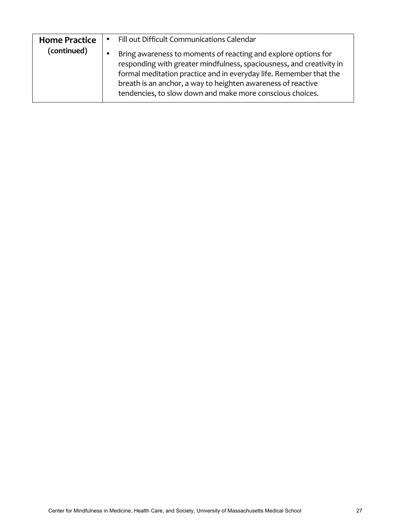| <b>Home Practice</b> | ٠         | Fill out Difficult Communications Calendar                                                                                                                                                                                                                                                                                                |
|----------------------|-----------|-------------------------------------------------------------------------------------------------------------------------------------------------------------------------------------------------------------------------------------------------------------------------------------------------------------------------------------------|
| (continued)          | $\bullet$ | Bring awareness to moments of reacting and explore options for<br>responding with greater mindfulness, spaciousness, and creativity in<br>formal meditation practice and in everyday life. Remember that the<br>breath is an anchor, a way to heighten awareness of reactive<br>tendencies, to slow down and make more conscious choices. |
|                      |           |                                                                                                                                                                                                                                                                                                                                           |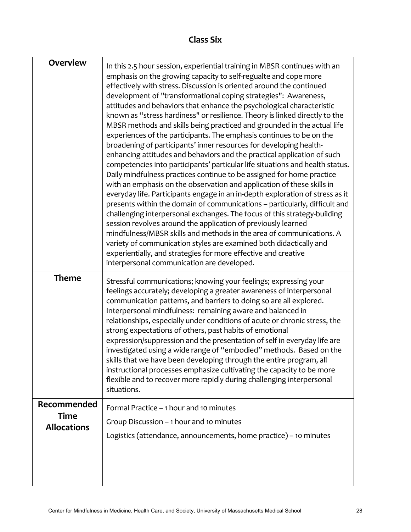# **Class Six**

| <b>Overview</b>                                  | In this 2.5 hour session, experiential training in MBSR continues with an<br>emphasis on the growing capacity to self-regualte and cope more<br>effectively with stress. Discussion is oriented around the continued<br>development of "transformational coping strategies": Awareness,<br>attitudes and behaviors that enhance the psychological characteristic<br>known as "stress hardiness" or resilience. Theory is linked directly to the<br>MBSR methods and skills being practiced and grounded in the actual life<br>experiences of the participants. The emphasis continues to be on the<br>broadening of participants' inner resources for developing health-<br>enhancing attitudes and behaviors and the practical application of such<br>competencies into participants' particular life situations and health status.<br>Daily mindfulness practices continue to be assigned for home practice<br>with an emphasis on the observation and application of these skills in<br>everyday life. Participants engage in an in-depth exploration of stress as it<br>presents within the domain of communications - particularly, difficult and<br>challenging interpersonal exchanges. The focus of this strategy-building<br>session revolves around the application of previously learned<br>mindfulness/MBSR skills and methods in the area of communications. A<br>variety of communication styles are examined both didactically and<br>experientially, and strategies for more effective and creative<br>interpersonal communication are developed. |
|--------------------------------------------------|-------------------------------------------------------------------------------------------------------------------------------------------------------------------------------------------------------------------------------------------------------------------------------------------------------------------------------------------------------------------------------------------------------------------------------------------------------------------------------------------------------------------------------------------------------------------------------------------------------------------------------------------------------------------------------------------------------------------------------------------------------------------------------------------------------------------------------------------------------------------------------------------------------------------------------------------------------------------------------------------------------------------------------------------------------------------------------------------------------------------------------------------------------------------------------------------------------------------------------------------------------------------------------------------------------------------------------------------------------------------------------------------------------------------------------------------------------------------------------------------------------------------------------------------------------------------|
| <b>Theme</b>                                     | Stressful communications; knowing your feelings; expressing your<br>feelings accurately; developing a greater awareness of interpersonal<br>communication patterns, and barriers to doing so are all explored.<br>Interpersonal mindfulness: remaining aware and balanced in<br>relationships, especially under conditions of acute or chronic stress, the<br>strong expectations of others, past habits of emotional<br>expression/suppression and the presentation of self in everyday life are<br>investigated using a wide range of "embodied" methods. Based on the<br>skills that we have been developing through the entire program, all<br>instructional processes emphasize cultivating the capacity to be more<br>flexible and to recover more rapidly during challenging interpersonal<br>situations.                                                                                                                                                                                                                                                                                                                                                                                                                                                                                                                                                                                                                                                                                                                                                  |
| Recommended<br><b>Time</b><br><b>Allocations</b> | Formal Practice - 1 hour and 10 minutes<br>Group Discussion - 1 hour and 10 minutes<br>Logistics (attendance, announcements, home practice) - 10 minutes                                                                                                                                                                                                                                                                                                                                                                                                                                                                                                                                                                                                                                                                                                                                                                                                                                                                                                                                                                                                                                                                                                                                                                                                                                                                                                                                                                                                          |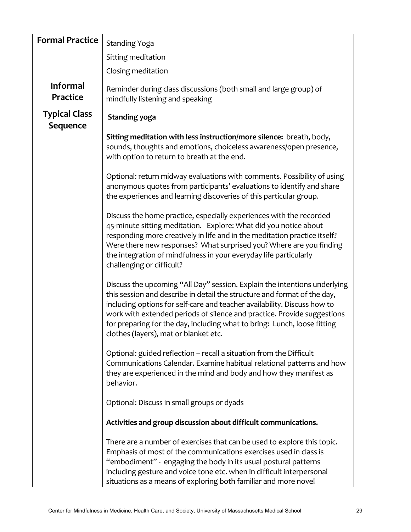| <b>Formal Practice</b>             | <b>Standing Yoga</b>                                                                                                                                                                                                                                                                                                                                                                                                              |
|------------------------------------|-----------------------------------------------------------------------------------------------------------------------------------------------------------------------------------------------------------------------------------------------------------------------------------------------------------------------------------------------------------------------------------------------------------------------------------|
|                                    | Sitting meditation                                                                                                                                                                                                                                                                                                                                                                                                                |
|                                    | Closing meditation                                                                                                                                                                                                                                                                                                                                                                                                                |
| <b>Informal</b><br><b>Practice</b> | Reminder during class discussions (both small and large group) of<br>mindfully listening and speaking                                                                                                                                                                                                                                                                                                                             |
| <b>Typical Class</b><br>Sequence   | <b>Standing yoga</b>                                                                                                                                                                                                                                                                                                                                                                                                              |
|                                    | Sitting meditation with less instruction/more silence: breath, body,<br>sounds, thoughts and emotions, choiceless awareness/open presence,<br>with option to return to breath at the end.                                                                                                                                                                                                                                         |
|                                    | Optional: return midway evaluations with comments. Possibility of using<br>anonymous quotes from participants' evaluations to identify and share<br>the experiences and learning discoveries of this particular group.                                                                                                                                                                                                            |
|                                    | Discuss the home practice, especially experiences with the recorded<br>45-minute sitting meditation. Explore: What did you notice about<br>responding more creatively in life and in the meditation practice itself?<br>Were there new responses? What surprised you? Where are you finding<br>the integration of mindfulness in your everyday life particularly<br>challenging or difficult?                                     |
|                                    | Discuss the upcoming "All Day" session. Explain the intentions underlying<br>this session and describe in detail the structure and format of the day,<br>including options for self-care and teacher availability. Discuss how to<br>work with extended periods of silence and practice. Provide suggestions<br>for preparing for the day, including what to bring: Lunch, loose fitting<br>clothes (layers), mat or blanket etc. |
|                                    | Optional: guided reflection - recall a situation from the Difficult<br>Communications Calendar. Examine habitual relational patterns and how<br>they are experienced in the mind and body and how they manifest as<br>behavior.                                                                                                                                                                                                   |
|                                    | Optional: Discuss in small groups or dyads                                                                                                                                                                                                                                                                                                                                                                                        |
|                                    | Activities and group discussion about difficult communications.                                                                                                                                                                                                                                                                                                                                                                   |
|                                    | There are a number of exercises that can be used to explore this topic.<br>Emphasis of most of the communications exercises used in class is<br>"embodiment" - engaging the body in its usual postural patterns<br>including gesture and voice tone etc. when in difficult interpersonal<br>situations as a means of exploring both familiar and more novel                                                                       |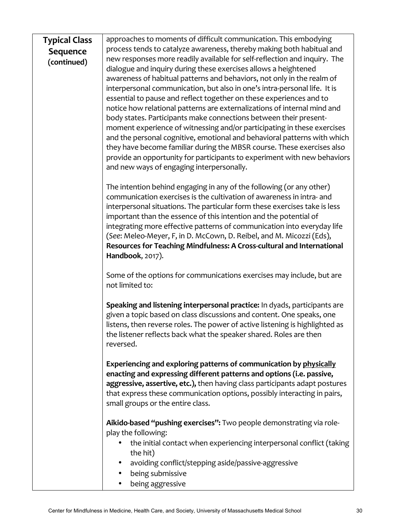| <b>Typical Class</b> | approaches to moments of difficult communication. This embodying                                                                                                                                                                                                                                                                            |
|----------------------|---------------------------------------------------------------------------------------------------------------------------------------------------------------------------------------------------------------------------------------------------------------------------------------------------------------------------------------------|
| <b>Sequence</b>      | process tends to catalyze awareness, thereby making both habitual and                                                                                                                                                                                                                                                                       |
| (continued)          | new responses more readily available for self-reflection and inquiry. The                                                                                                                                                                                                                                                                   |
|                      | dialogue and inquiry during these exercises allows a heightened                                                                                                                                                                                                                                                                             |
|                      | awareness of habitual patterns and behaviors, not only in the realm of                                                                                                                                                                                                                                                                      |
|                      | interpersonal communication, but also in one's intra-personal life. It is                                                                                                                                                                                                                                                                   |
|                      | essential to pause and reflect together on these experiences and to                                                                                                                                                                                                                                                                         |
|                      | notice how relational patterns are externalizations of internal mind and                                                                                                                                                                                                                                                                    |
|                      | body states. Participants make connections between their present-                                                                                                                                                                                                                                                                           |
|                      | moment experience of witnessing and/or participating in these exercises                                                                                                                                                                                                                                                                     |
|                      | and the personal cognitive, emotional and behavioral patterns with which                                                                                                                                                                                                                                                                    |
|                      | they have become familiar during the MBSR course. These exercises also                                                                                                                                                                                                                                                                      |
|                      | provide an opportunity for participants to experiment with new behaviors                                                                                                                                                                                                                                                                    |
|                      | and new ways of engaging interpersonally.                                                                                                                                                                                                                                                                                                   |
|                      | The intention behind engaging in any of the following (or any other)                                                                                                                                                                                                                                                                        |
|                      | communication exercises is the cultivation of awareness in intra- and                                                                                                                                                                                                                                                                       |
|                      | interpersonal situations. The particular form these exercises take is less                                                                                                                                                                                                                                                                  |
|                      | important than the essence of this intention and the potential of                                                                                                                                                                                                                                                                           |
|                      | integrating more effective patterns of communication into everyday life                                                                                                                                                                                                                                                                     |
|                      | (See: Meleo-Meyer, F, in D. McCown, D. Reibel, and M. Micozzi (Eds),                                                                                                                                                                                                                                                                        |
|                      | Resources for Teaching Mindfulness: A Cross-cultural and International                                                                                                                                                                                                                                                                      |
|                      | Handbook, 2017).                                                                                                                                                                                                                                                                                                                            |
|                      | Some of the options for communications exercises may include, but are<br>not limited to:                                                                                                                                                                                                                                                    |
|                      | Speaking and listening interpersonal practice: In dyads, participants are<br>given a topic based on class discussions and content. One speaks, one<br>listens, then reverse roles. The power of active listening is highlighted as<br>the listener reflects back what the speaker shared. Roles are then<br>reversed.                       |
|                      | Experiencing and exploring patterns of communication by physically<br>enacting and expressing different patterns and options (i.e. passive,<br>aggressive, assertive, etc.), then having class participants adapt postures<br>that express these communication options, possibly interacting in pairs,<br>small groups or the entire class. |
|                      | Aikido-based "pushing exercises": Two people demonstrating via role-<br>play the following:                                                                                                                                                                                                                                                 |
|                      | the initial contact when experiencing interpersonal conflict (taking<br>the hit)                                                                                                                                                                                                                                                            |
|                      | avoiding conflict/stepping aside/passive-aggressive<br>٠                                                                                                                                                                                                                                                                                    |
|                      | being submissive                                                                                                                                                                                                                                                                                                                            |
|                      | being aggressive                                                                                                                                                                                                                                                                                                                            |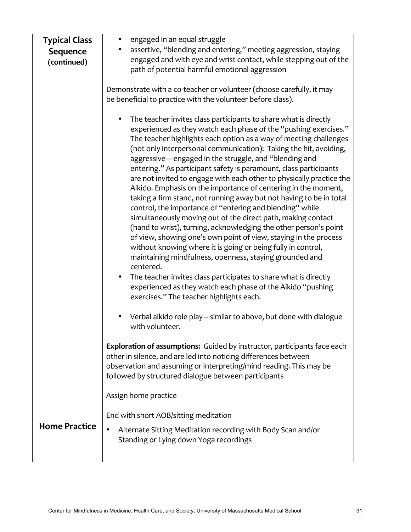| <b>Typical Class</b><br><b>Sequence</b> | engaged in an equal struggle<br>٠<br>assertive, "blending and entering," meeting aggression, staying<br>$\bullet$                                                                                                                                                                                                                                                                                                                                                                                                                                                                                                                                                                                                                                                                                                                                                                                                                                                                                                                                                                                                                                                                                                                          |
|-----------------------------------------|--------------------------------------------------------------------------------------------------------------------------------------------------------------------------------------------------------------------------------------------------------------------------------------------------------------------------------------------------------------------------------------------------------------------------------------------------------------------------------------------------------------------------------------------------------------------------------------------------------------------------------------------------------------------------------------------------------------------------------------------------------------------------------------------------------------------------------------------------------------------------------------------------------------------------------------------------------------------------------------------------------------------------------------------------------------------------------------------------------------------------------------------------------------------------------------------------------------------------------------------|
| (continued)                             | engaged and with eye and wrist contact, while stepping out of the<br>path of potential harmful emotional aggression                                                                                                                                                                                                                                                                                                                                                                                                                                                                                                                                                                                                                                                                                                                                                                                                                                                                                                                                                                                                                                                                                                                        |
|                                         | Demonstrate with a co-teacher or volunteer (choose carefully, it may<br>be beneficial to practice with the volunteer before class).                                                                                                                                                                                                                                                                                                                                                                                                                                                                                                                                                                                                                                                                                                                                                                                                                                                                                                                                                                                                                                                                                                        |
|                                         | The teacher invites class participants to share what is directly<br>٠<br>experienced as they watch each phase of the "pushing exercises."<br>The teacher highlights each option as a way of meeting challenges<br>(not only interpersonal communication): Taking the hit, avoiding,<br>aggressive—engaged in the struggle, and "blending and<br>entering." As participant safety is paramount, class participants<br>are not invited to engage with each other to physically practice the<br>Aikido. Emphasis on the-importance of centering in the moment,<br>taking a firm stand, not running away but not having to be in total<br>control, the importance of "entering and blending" while<br>simultaneously moving out of the direct path, making contact<br>(hand to wrist), turning, acknowledging the other person's point<br>of view, showing one's own point of view, staying in the process<br>without knowing where it is going or being fully in control,<br>maintaining mindfulness, openness, staying grounded and<br>centered.<br>The teacher invites class participates to share what is directly<br>$\bullet$<br>experienced as they watch each phase of the Aikido "pushing<br>exercises." The teacher highlights each. |
|                                         | Verbal aikido role play - similar to above, but done with dialogue<br>with volunteer.                                                                                                                                                                                                                                                                                                                                                                                                                                                                                                                                                                                                                                                                                                                                                                                                                                                                                                                                                                                                                                                                                                                                                      |
|                                         | Exploration of assumptions: Guided by instructor, participants face each<br>other in silence, and are led into noticing differences between<br>observation and assuming or interpreting/mind reading. This may be<br>followed by structured dialogue between participants                                                                                                                                                                                                                                                                                                                                                                                                                                                                                                                                                                                                                                                                                                                                                                                                                                                                                                                                                                  |
|                                         | Assign home practice                                                                                                                                                                                                                                                                                                                                                                                                                                                                                                                                                                                                                                                                                                                                                                                                                                                                                                                                                                                                                                                                                                                                                                                                                       |
|                                         | End with short AOB/sitting meditation                                                                                                                                                                                                                                                                                                                                                                                                                                                                                                                                                                                                                                                                                                                                                                                                                                                                                                                                                                                                                                                                                                                                                                                                      |
| <b>Home Practice</b>                    | Alternate Sitting Meditation recording with Body Scan and/or<br>Standing or Lying down Yoga recordings                                                                                                                                                                                                                                                                                                                                                                                                                                                                                                                                                                                                                                                                                                                                                                                                                                                                                                                                                                                                                                                                                                                                     |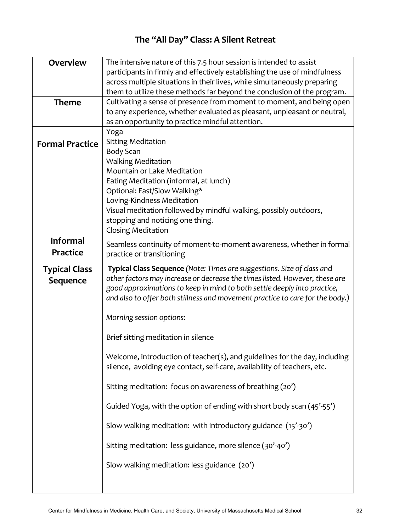# The "All Day" Class: A Silent Retreat

| <b>Overview</b>        | The intensive nature of this 7.5 hour session is intended to assist           |
|------------------------|-------------------------------------------------------------------------------|
|                        | participants in firmly and effectively establishing the use of mindfulness    |
|                        | across multiple situations in their lives, while simultaneously preparing     |
|                        | them to utilize these methods far beyond the conclusion of the program.       |
| <b>Theme</b>           | Cultivating a sense of presence from moment to moment, and being open         |
|                        | to any experience, whether evaluated as pleasant, unpleasant or neutral,      |
|                        | as an opportunity to practice mindful attention.                              |
|                        | Yoga                                                                          |
| <b>Formal Practice</b> | <b>Sitting Meditation</b>                                                     |
|                        | <b>Body Scan</b>                                                              |
|                        | <b>Walking Meditation</b>                                                     |
|                        | Mountain or Lake Meditation                                                   |
|                        | Eating Meditation (informal, at lunch)                                        |
|                        | Optional: Fast/Slow Walking*                                                  |
|                        | Loving-Kindness Meditation                                                    |
|                        | Visual meditation followed by mindful walking, possibly outdoors,             |
|                        | stopping and noticing one thing.                                              |
|                        | <b>Closing Meditation</b>                                                     |
| <b>Informal</b>        | Seamless continuity of moment-to-moment awareness, whether in formal          |
| <b>Practice</b>        | practice or transitioning                                                     |
|                        |                                                                               |
| <b>Typical Class</b>   | Typical Class Sequence (Note: Times are suggestions. Size of class and        |
| <b>Sequence</b>        | other factors may increase or decrease the times listed. However, these are   |
|                        | good approximations to keep in mind to both settle deeply into practice,      |
|                        | and also to offer both stillness and movement practice to care for the body.) |
|                        | Morning session options:                                                      |
|                        |                                                                               |
|                        | Brief sitting meditation in silence                                           |
|                        | Welcome, introduction of teacher(s), and guidelines for the day, including    |
|                        | silence, avoiding eye contact, self-care, availability of teachers, etc.      |
|                        |                                                                               |
|                        | Sitting meditation: focus on awareness of breathing (20')                     |
|                        |                                                                               |
|                        | Guided Yoga, with the option of ending with short body scan (45'-55')         |
|                        | Slow walking meditation: with introductory guidance (15'-30')                 |
|                        |                                                                               |
|                        | Sitting meditation: less guidance, more silence (30'-40')                     |
|                        | Slow walking meditation: less guidance (20')                                  |
|                        |                                                                               |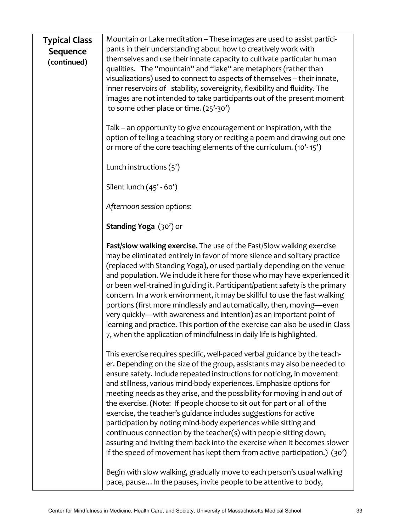| <b>Typical Class</b> | Mountain or Lake meditation -- These images are used to assist partici-                                                                                   |
|----------------------|-----------------------------------------------------------------------------------------------------------------------------------------------------------|
| <b>Sequence</b>      | pants in their understanding about how to creatively work with<br>themselves and use their innate capacity to cultivate particular human                  |
| (continued)          | qualities. The "mountain" and "lake" are metaphors (rather than                                                                                           |
|                      | visualizations) used to connect to aspects of themselves - their innate,                                                                                  |
|                      | inner reservoirs of stability, sovereignity, flexibility and fluidity. The                                                                                |
|                      | images are not intended to take participants out of the present moment                                                                                    |
|                      | to some other place or time. (25'-30')                                                                                                                    |
|                      | Talk – an opportunity to give encouragement or inspiration, with the                                                                                      |
|                      | option of telling a teaching story or reciting a poem and drawing out one                                                                                 |
|                      | or more of the core teaching elements of the curriculum. (10'-15')                                                                                        |
|                      | Lunch instructions (5')                                                                                                                                   |
|                      | Silent lunch (45' - 60')                                                                                                                                  |
|                      | Afternoon session options:                                                                                                                                |
|                      | Standing Yoga (30') or                                                                                                                                    |
|                      | Fast/slow walking exercise. The use of the Fast/Slow walking exercise                                                                                     |
|                      | may be eliminated entirely in favor of more silence and solitary practice                                                                                 |
|                      | (replaced with Standing Yoga), or used partially depending on the venue                                                                                   |
|                      | and population. We include it here for those who may have experienced it<br>or been well-trained in guiding it. Participant/patient safety is the primary |
|                      | concern. In a work environment, it may be skillful to use the fast walking                                                                                |
|                      | portions (first more mindlessly and automatically, then, moving—even                                                                                      |
|                      | very quickly—with awareness and intention) as an important point of                                                                                       |
|                      | learning and practice. This portion of the exercise can also be used in Class                                                                             |
|                      | 7, when the application of mindfulness in daily life is highlighted.                                                                                      |
|                      | This exercise requires specific, well-paced verbal guidance by the teach-                                                                                 |
|                      | er. Depending on the size of the group, assistants may also be needed to                                                                                  |
|                      | ensure safety. Include repeated instructions for noticing, in movement<br>and stillness, various mind-body experiences. Emphasize options for             |
|                      | meeting needs as they arise, and the possibility for moving in and out of                                                                                 |
|                      | the exercise. (Note: If people choose to sit out for part or all of the                                                                                   |
|                      | exercise, the teacher's guidance includes suggestions for active                                                                                          |
|                      | participation by noting mind-body experiences while sitting and                                                                                           |
|                      | continuous connection by the teacher(s) with people sitting down,<br>assuring and inviting them back into the exercise when it becomes slower             |
|                      | if the speed of movement has kept them from active participation.) (30')                                                                                  |
|                      | Begin with slow walking, gradually move to each person's usual walking                                                                                    |
|                      | pace, pause In the pauses, invite people to be attentive to body,                                                                                         |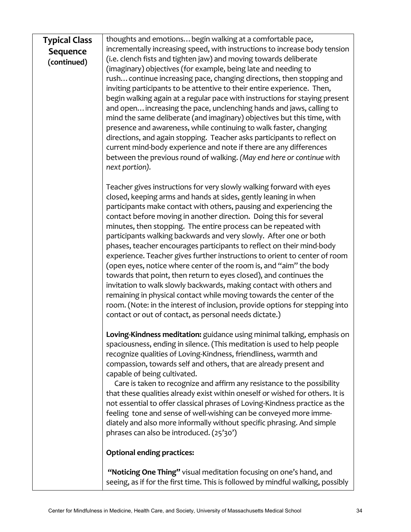| thoughts and emotions begin walking at a comfortable pace,<br><b>Typical Class</b>            |                                                                             |
|-----------------------------------------------------------------------------------------------|-----------------------------------------------------------------------------|
| incrementally increasing speed, with instructions to increase body tension<br><b>Sequence</b> |                                                                             |
| (continued)                                                                                   | (i.e. clench fists and tighten jaw) and moving towards deliberate           |
|                                                                                               | (imaginary) objectives (for example, being late and needing to              |
|                                                                                               | rush continue increasing pace, changing directions, then stopping and       |
|                                                                                               | inviting participants to be attentive to their entire experience. Then,     |
|                                                                                               | begin walking again at a regular pace with instructions for staying present |
|                                                                                               | and open increasing the pace, unclenching hands and jaws, calling to        |
|                                                                                               | mind the same deliberate (and imaginary) objectives but this time, with     |
|                                                                                               | presence and awareness, while continuing to walk faster, changing           |
|                                                                                               | directions, and again stopping. Teacher asks participants to reflect on     |
|                                                                                               | current mind-body experience and note if there are any differences          |
|                                                                                               | between the previous round of walking. (May end here or continue with       |
|                                                                                               | next portion).                                                              |
|                                                                                               |                                                                             |
|                                                                                               | Teacher gives instructions for very slowly walking forward with eyes        |
|                                                                                               | closed, keeping arms and hands at sides, gently leaning in when             |
|                                                                                               | participants make contact with others, pausing and experiencing the         |
|                                                                                               | contact before moving in another direction. Doing this for several          |
|                                                                                               | minutes, then stopping. The entire process can be repeated with             |
|                                                                                               | participants walking backwards and very slowly. After one or both           |
|                                                                                               | phases, teacher encourages participants to reflect on their mind-body       |
|                                                                                               | experience. Teacher gives further instructions to orient to center of room  |
|                                                                                               | (open eyes, notice where center of the room is, and "aim" the body          |
|                                                                                               |                                                                             |

towards that point, then return to eyes closed), and continues the invitation to walk slowly backwards, making contact with others and remaining in physical contact while moving towards the center of the room. (Note: in the interest of inclusion, provide options for stepping into contact or out of contact, as personal needs dictate.)

Loving-Kindness meditation: guidance using minimal talking, emphasis on spaciousness, ending in silence. (This meditation is used to help people recognize qualities of Loving-Kindness, friendliness, warmth and compassion, towards self and others, that are already present and capable of being cultivated.

Care is taken to recognize and affirm any resistance to the possibility that these qualities already exist within oneself or wished for others. It is not essential to offer classical phrases of Loving-Kindness practice as the feeling tone and sense of well-wishing can be conveyed more immediately and also more informally without specific phrasing. And simple phrases can also be introduced. (25'30')

### **Optional ending practices:**

"Noticing One Thing" visual meditation focusing on one's hand, and seeing, as if for the first time. This is followed by mindful walking, possibly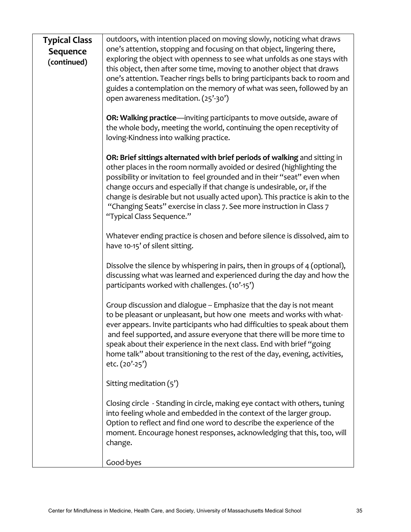| <b>Typical Class</b><br><b>Sequence</b><br>(continued) | outdoors, with intention placed on moving slowly, noticing what draws<br>one's attention, stopping and focusing on that object, lingering there,<br>exploring the object with openness to see what unfolds as one stays with<br>this object, then after some time, moving to another object that draws<br>one's attention. Teacher rings bells to bring participants back to room and<br>guides a contemplation on the memory of what was seen, followed by an<br>open awareness meditation. (25'-30') |
|--------------------------------------------------------|--------------------------------------------------------------------------------------------------------------------------------------------------------------------------------------------------------------------------------------------------------------------------------------------------------------------------------------------------------------------------------------------------------------------------------------------------------------------------------------------------------|
|                                                        | OR: Walking practice—inviting participants to move outside, aware of<br>the whole body, meeting the world, continuing the open receptivity of<br>loving-Kindness into walking practice.                                                                                                                                                                                                                                                                                                                |
|                                                        | OR: Brief sittings alternated with brief periods of walking and sitting in<br>other places in the room normally avoided or desired (highlighting the<br>possibility or invitation to feel grounded and in their "seat" even when<br>change occurs and especially if that change is undesirable, or, if the<br>change is desirable but not usually acted upon). This practice is akin to the<br>"Changing Seats" exercise in class 7. See more instruction in Class 7<br>"Typical Class Sequence."      |
|                                                        | Whatever ending practice is chosen and before silence is dissolved, aim to<br>have 10-15' of silent sitting.                                                                                                                                                                                                                                                                                                                                                                                           |
|                                                        | Dissolve the silence by whispering in pairs, then in groups of 4 (optional),<br>discussing what was learned and experienced during the day and how the<br>participants worked with challenges. (10'-15')                                                                                                                                                                                                                                                                                               |
|                                                        | Group discussion and dialogue -- Emphasize that the day is not meant<br>to be pleasant or unpleasant, but how one meets and works with what-<br>ever appears. Invite participants who had difficulties to speak about them<br>and feel supported, and assure everyone that there will be more time to<br>speak about their experience in the next class. End with brief "going<br>home talk" about transitioning to the rest of the day, evening, activities,<br>etc. $(20' - 25')$                    |
|                                                        | Sitting meditation $(5')$                                                                                                                                                                                                                                                                                                                                                                                                                                                                              |
|                                                        | Closing circle - Standing in circle, making eye contact with others, tuning<br>into feeling whole and embedded in the context of the larger group.<br>Option to reflect and find one word to describe the experience of the<br>moment. Encourage honest responses, acknowledging that this, too, will<br>change.                                                                                                                                                                                       |
|                                                        | Good-byes                                                                                                                                                                                                                                                                                                                                                                                                                                                                                              |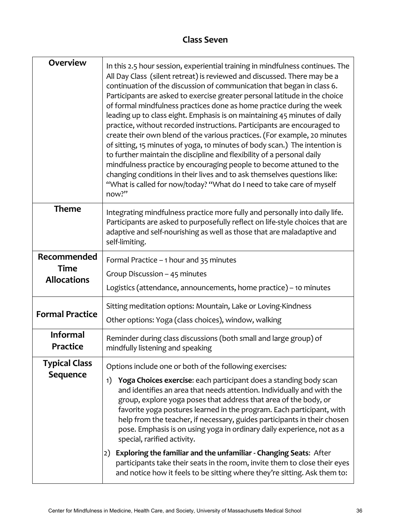# **Class Seven**

| <b>Overview</b><br>In this 2.5 hour session, experiential training in mindfulness continues. The<br>All Day Class (silent retreat) is reviewed and discussed. There may be a<br>continuation of the discussion of communication that began in class 6.<br>Participants are asked to exercise greater personal latitude in the choice<br>of formal mindfulness practices done as home practice during the week<br>leading up to class eight. Emphasis is on maintaining 45 minutes of daily<br>practice, without recorded instructions. Participants are encouraged to<br>create their own blend of the various practices. (For example, 20 minutes<br>of sitting, 15 minutes of yoga, 10 minutes of body scan.) The intention is<br>to further maintain the discipline and flexibility of a personal daily<br>mindfulness practice by encouraging people to become attuned to the<br>changing conditions in their lives and to ask themselves questions like:<br>"What is called for now/today? "What do I need to take care of myself<br>now?" |                                                                                                                                                                                                                                                                                                                                                                                                                                                                                                                                                                |  |  |
|-------------------------------------------------------------------------------------------------------------------------------------------------------------------------------------------------------------------------------------------------------------------------------------------------------------------------------------------------------------------------------------------------------------------------------------------------------------------------------------------------------------------------------------------------------------------------------------------------------------------------------------------------------------------------------------------------------------------------------------------------------------------------------------------------------------------------------------------------------------------------------------------------------------------------------------------------------------------------------------------------------------------------------------------------|----------------------------------------------------------------------------------------------------------------------------------------------------------------------------------------------------------------------------------------------------------------------------------------------------------------------------------------------------------------------------------------------------------------------------------------------------------------------------------------------------------------------------------------------------------------|--|--|
| <b>Theme</b><br>Integrating mindfulness practice more fully and personally into daily life.<br>Participants are asked to purposefully reflect on life-style choices that are<br>adaptive and self-nourishing as well as those that are maladaptive and<br>self-limiting.                                                                                                                                                                                                                                                                                                                                                                                                                                                                                                                                                                                                                                                                                                                                                                        |                                                                                                                                                                                                                                                                                                                                                                                                                                                                                                                                                                |  |  |
| Recommended                                                                                                                                                                                                                                                                                                                                                                                                                                                                                                                                                                                                                                                                                                                                                                                                                                                                                                                                                                                                                                     | Formal Practice - 1 hour and 35 minutes                                                                                                                                                                                                                                                                                                                                                                                                                                                                                                                        |  |  |
| <b>Time</b><br><b>Allocations</b>                                                                                                                                                                                                                                                                                                                                                                                                                                                                                                                                                                                                                                                                                                                                                                                                                                                                                                                                                                                                               | Group Discussion - 45 minutes                                                                                                                                                                                                                                                                                                                                                                                                                                                                                                                                  |  |  |
|                                                                                                                                                                                                                                                                                                                                                                                                                                                                                                                                                                                                                                                                                                                                                                                                                                                                                                                                                                                                                                                 | Logistics (attendance, announcements, home practice) - 10 minutes                                                                                                                                                                                                                                                                                                                                                                                                                                                                                              |  |  |
|                                                                                                                                                                                                                                                                                                                                                                                                                                                                                                                                                                                                                                                                                                                                                                                                                                                                                                                                                                                                                                                 | Sitting meditation options: Mountain, Lake or Loving-Kindness                                                                                                                                                                                                                                                                                                                                                                                                                                                                                                  |  |  |
| <b>Formal Practice</b>                                                                                                                                                                                                                                                                                                                                                                                                                                                                                                                                                                                                                                                                                                                                                                                                                                                                                                                                                                                                                          | Other options: Yoga (class choices), window, walking                                                                                                                                                                                                                                                                                                                                                                                                                                                                                                           |  |  |
| <b>Informal</b><br><b>Practice</b>                                                                                                                                                                                                                                                                                                                                                                                                                                                                                                                                                                                                                                                                                                                                                                                                                                                                                                                                                                                                              | Reminder during class discussions (both small and large group) of<br>mindfully listening and speaking                                                                                                                                                                                                                                                                                                                                                                                                                                                          |  |  |
| <b>Typical Class</b>                                                                                                                                                                                                                                                                                                                                                                                                                                                                                                                                                                                                                                                                                                                                                                                                                                                                                                                                                                                                                            | Options include one or both of the following exercises:                                                                                                                                                                                                                                                                                                                                                                                                                                                                                                        |  |  |
| <b>Sequence</b>                                                                                                                                                                                                                                                                                                                                                                                                                                                                                                                                                                                                                                                                                                                                                                                                                                                                                                                                                                                                                                 | Yoga Choices exercise: each participant does a standing body scan<br>1)<br>and identifies an area that needs attention. Individually and with the<br>group, explore yoga poses that address that area of the body, or<br>favorite yoga postures learned in the program. Each participant, with<br>help from the teacher, if necessary, guides participants in their chosen<br>pose. Emphasis is on using yoga in ordinary daily experience, not as a<br>special, rarified activity.<br>Exploring the familiar and the unfamiliar - Changing Seats: After<br>2) |  |  |
|                                                                                                                                                                                                                                                                                                                                                                                                                                                                                                                                                                                                                                                                                                                                                                                                                                                                                                                                                                                                                                                 | participants take their seats in the room, invite them to close their eyes<br>and notice how it feels to be sitting where they're sitting. Ask them to:                                                                                                                                                                                                                                                                                                                                                                                                        |  |  |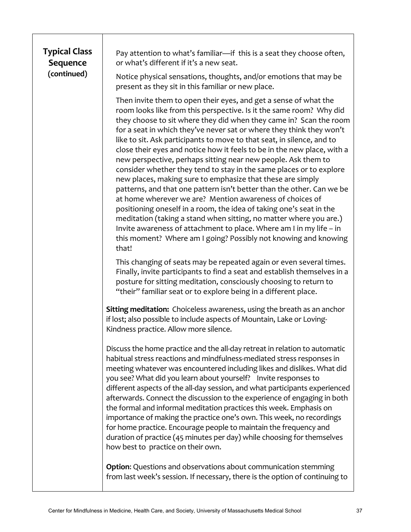# **Typical Class Sequence (continued)**

Pay attention to what's familiar—if this is a seat they choose often, or what's different if it's a new seat.

Notice physical sensations, thoughts, and/or emotions that may be present as they sit in this familiar or new place.

Then invite them to open their eyes, and get a sense of what the room looks like from this perspective. Is it the same room? Why did they choose to sit where they did when they came in? Scan the room for a seat in which they've never sat or where they think they won't like to sit. Ask participants to move to that seat, in silence, and to close their eyes and notice how it feels to be in the new place, with a new perspective, perhaps sitting near new people. Ask them to consider whether they tend to stay in the same places or to explore new places, making sure to emphasize that these are simply patterns, and that one pattern isn't better than the other. Can we be at home wherever we are? Mention awareness of choices of positioning oneself in a room, the idea of taking one's seat in the meditation (taking a stand when sitting, no matter where you are.) Invite awareness of attachment to place. Where am I in my life – in this moment? Where am I going? Possibly not knowing and knowing that! 

This changing of seats may be repeated again or even several times. Finally, invite participants to find a seat and establish themselves in a posture for sitting meditation, consciously choosing to return to "their" familiar seat or to explore being in a different place.

**Sitting meditation:** Choiceless awareness, using the breath as an anchor if lost; also possible to include aspects of Mountain, Lake or Loving-Kindness practice. Allow more silence.

Discuss the home practice and the all-day retreat in relation to automatic habitual stress reactions and mindfulness-mediated stress responses in meeting whatever was encountered including likes and dislikes. What did you see? What did you learn about yourself? Invite responses to different aspects of the all-day session, and what participants experienced afterwards. Connect the discussion to the experience of engaging in both the formal and informal meditation practices this week. Emphasis on importance of making the practice one's own. This week, no recordings for home practice. Encourage people to maintain the frequency and duration of practice (45 minutes per day) while choosing for themselves how best to practice on their own.

**Option:** Questions and observations about communication stemming from last week's session. If necessary, there is the option of continuing to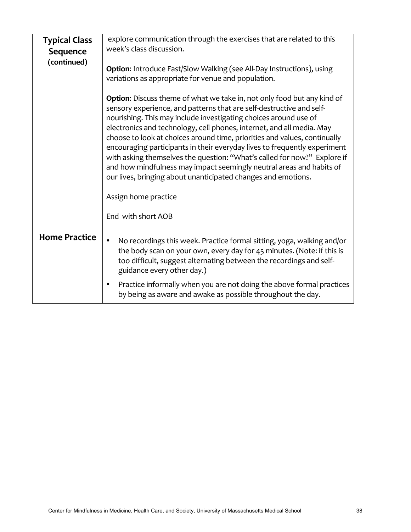| <b>Typical Class</b><br>Sequence<br>(continued)                                                                                                                                                                                                                                                                                                                                                                                         | explore communication through the exercises that are related to this<br>week's class discussion.<br><b>Option:</b> Introduce Fast/Slow Walking (see All-Day Instructions), using<br>variations as appropriate for venue and population.<br><b>Option:</b> Discuss theme of what we take in, not only food but any kind of<br>sensory experience, and patterns that are self-destructive and self-<br>nourishing. This may include investigating choices around use of<br>electronics and technology, cell phones, internet, and all media. May<br>choose to look at choices around time, priorities and values, continually<br>encouraging participants in their everyday lives to frequently experiment<br>with asking themselves the question: "What's called for now?" Explore if<br>and how mindfulness may impact seemingly neutral areas and habits of<br>our lives, bringing about unanticipated changes and emotions.<br>Assign home practice<br>End with short AOB |  |
|-----------------------------------------------------------------------------------------------------------------------------------------------------------------------------------------------------------------------------------------------------------------------------------------------------------------------------------------------------------------------------------------------------------------------------------------|-----------------------------------------------------------------------------------------------------------------------------------------------------------------------------------------------------------------------------------------------------------------------------------------------------------------------------------------------------------------------------------------------------------------------------------------------------------------------------------------------------------------------------------------------------------------------------------------------------------------------------------------------------------------------------------------------------------------------------------------------------------------------------------------------------------------------------------------------------------------------------------------------------------------------------------------------------------------------------|--|
| <b>Home Practice</b><br>No recordings this week. Practice formal sitting, yoga, walking and/or<br>$\bullet$<br>the body scan on your own, every day for 45 minutes. (Note: if this is<br>too difficult, suggest alternating between the recordings and self-<br>guidance every other day.)<br>Practice informally when you are not doing the above formal practices<br>٠<br>by being as aware and awake as possible throughout the day. |                                                                                                                                                                                                                                                                                                                                                                                                                                                                                                                                                                                                                                                                                                                                                                                                                                                                                                                                                                             |  |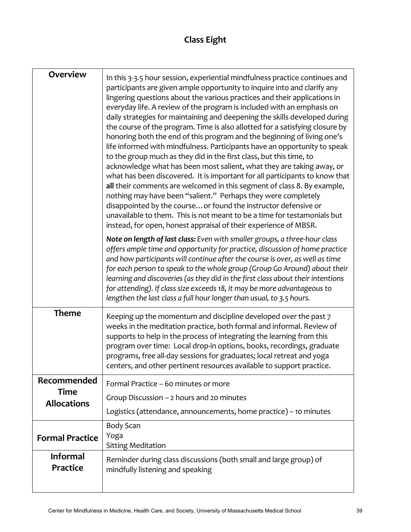# **Class Eight**

| <b>Overview</b>                    | In this 3-3.5 hour session, experiential mindfulness practice continues and<br>participants are given ample opportunity to inquire into and clarify any<br>lingering questions about the various practices and their applications in<br>everyday life. A review of the program is included with an emphasis on<br>daily strategies for maintaining and deepening the skills developed during<br>the course of the program. Time is also allotted for a satisfying closure by<br>honoring both the end of this program and the beginning of living one's<br>life informed with mindfulness. Participants have an opportunity to speak<br>to the group much as they did in the first class, but this time, to<br>acknowledge what has been most salient, what they are taking away, or<br>what has been discovered. It is important for all participants to know that<br>all their comments are welcomed in this segment of class 8. By example,<br>nothing may have been "salient." Perhaps they were completely<br>disappointed by the course or found the instructor defensive or<br>unavailable to them. This is not meant to be a time for testamonials but<br>instead, for open, honest appraisal of their experience of MBSR.<br>Note on length of last class: Even with smaller groups, a three-hour class |
|------------------------------------|------------------------------------------------------------------------------------------------------------------------------------------------------------------------------------------------------------------------------------------------------------------------------------------------------------------------------------------------------------------------------------------------------------------------------------------------------------------------------------------------------------------------------------------------------------------------------------------------------------------------------------------------------------------------------------------------------------------------------------------------------------------------------------------------------------------------------------------------------------------------------------------------------------------------------------------------------------------------------------------------------------------------------------------------------------------------------------------------------------------------------------------------------------------------------------------------------------------------------------------------------------------------------------------------------------------|
|                                    | offers ample time and opportunity for practice, discussion of home practice<br>and how participants will continue after the course is over, as well as time<br>for each person to speak to the whole group (Group Go Around) about their<br>learning and discoveries (as they did in the first class about their intentions<br>for attending). If class size exceeds 18, it may be more advantageous to<br>lengthen the last class a full hour longer than usual, to 3.5 hours.                                                                                                                                                                                                                                                                                                                                                                                                                                                                                                                                                                                                                                                                                                                                                                                                                                  |
| <b>Theme</b>                       | Keeping up the momentum and discipline developed over the past 7<br>weeks in the meditation practice, both formal and informal. Review of<br>supports to help in the process of integrating the learning from this<br>program over time: Local drop-in options, books, recordings, graduate<br>programs, free all-day sessions for graduates; local retreat and yoga<br>centers, and other pertinent resources available to support practice.                                                                                                                                                                                                                                                                                                                                                                                                                                                                                                                                                                                                                                                                                                                                                                                                                                                                    |
| Recommended                        | Formal Practice - 60 minutes or more                                                                                                                                                                                                                                                                                                                                                                                                                                                                                                                                                                                                                                                                                                                                                                                                                                                                                                                                                                                                                                                                                                                                                                                                                                                                             |
| <b>Time</b><br><b>Allocations</b>  | Group Discussion - 2 hours and 20 minutes                                                                                                                                                                                                                                                                                                                                                                                                                                                                                                                                                                                                                                                                                                                                                                                                                                                                                                                                                                                                                                                                                                                                                                                                                                                                        |
|                                    | Logistics (attendance, announcements, home practice) – 10 minutes                                                                                                                                                                                                                                                                                                                                                                                                                                                                                                                                                                                                                                                                                                                                                                                                                                                                                                                                                                                                                                                                                                                                                                                                                                                |
| <b>Formal Practice</b>             | Body Scan<br>Yoga<br><b>Sitting Meditation</b>                                                                                                                                                                                                                                                                                                                                                                                                                                                                                                                                                                                                                                                                                                                                                                                                                                                                                                                                                                                                                                                                                                                                                                                                                                                                   |
| <b>Informal</b><br><b>Practice</b> | Reminder during class discussions (both small and large group) of<br>mindfully listening and speaking                                                                                                                                                                                                                                                                                                                                                                                                                                                                                                                                                                                                                                                                                                                                                                                                                                                                                                                                                                                                                                                                                                                                                                                                            |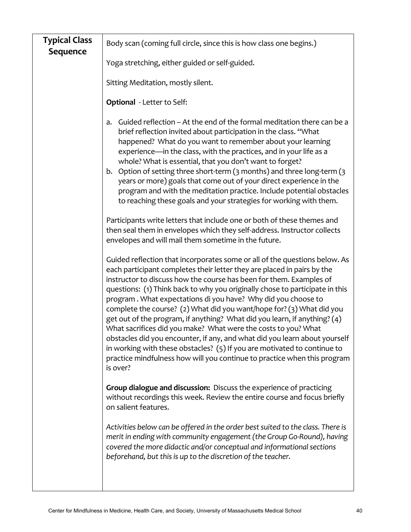| <b>Typical Class</b><br>Sequence                                                                                                                                                                            | Body scan (coming full circle, since this is how class one begins.)                                                                                                                                                                                                                                                                                                                                                                                                                                                                                                                                                                                                                                                                                                                                                                                     |  |  |  |
|-------------------------------------------------------------------------------------------------------------------------------------------------------------------------------------------------------------|---------------------------------------------------------------------------------------------------------------------------------------------------------------------------------------------------------------------------------------------------------------------------------------------------------------------------------------------------------------------------------------------------------------------------------------------------------------------------------------------------------------------------------------------------------------------------------------------------------------------------------------------------------------------------------------------------------------------------------------------------------------------------------------------------------------------------------------------------------|--|--|--|
| Yoga stretching, either guided or self-guided.                                                                                                                                                              |                                                                                                                                                                                                                                                                                                                                                                                                                                                                                                                                                                                                                                                                                                                                                                                                                                                         |  |  |  |
| Sitting Meditation, mostly silent.                                                                                                                                                                          |                                                                                                                                                                                                                                                                                                                                                                                                                                                                                                                                                                                                                                                                                                                                                                                                                                                         |  |  |  |
|                                                                                                                                                                                                             | <b>Optional</b> - Letter to Self:                                                                                                                                                                                                                                                                                                                                                                                                                                                                                                                                                                                                                                                                                                                                                                                                                       |  |  |  |
|                                                                                                                                                                                                             | Guided reflection – At the end of the formal meditation there can be a<br>a.<br>brief reflection invited about participation in the class. "What<br>happened? What do you want to remember about your learning<br>experience—in the class, with the practices, and in your life as a<br>whole? What is essential, that you don't want to forget?<br>b. Option of setting three short-term (3 months) and three long-term (3<br>years or more) goals that come out of your direct experience in the<br>program and with the meditation practice. Include potential obstacles<br>to reaching these goals and your strategies for working with them.                                                                                                                                                                                                       |  |  |  |
| Participants write letters that include one or both of these themes and<br>then seal them in envelopes which they self-address. Instructor collects<br>envelopes and will mail them sometime in the future. |                                                                                                                                                                                                                                                                                                                                                                                                                                                                                                                                                                                                                                                                                                                                                                                                                                                         |  |  |  |
|                                                                                                                                                                                                             | Guided reflection that incorporates some or all of the questions below. As<br>each participant completes their letter they are placed in pairs by the<br>instructor to discuss how the course has been for them. Examples of<br>questions: (1) Think back to why you originally chose to participate in this<br>program. What expectations di you have? Why did you choose to<br>complete the course? (2) What did you want/hope for? (3) What did you<br>get out of the program, if anything? What did you learn, if anything? (4)<br>What sacrifices did you make? What were the costs to you? What<br>obstacles did you encounter, if any, and what did you learn about yourself<br>in working with these obstacles? (5) If you are motivated to continue to<br>practice mindfulness how will you continue to practice when this program<br>is over? |  |  |  |
|                                                                                                                                                                                                             | Group dialogue and discussion: Discuss the experience of practicing<br>without recordings this week. Review the entire course and focus briefly<br>on salient features.                                                                                                                                                                                                                                                                                                                                                                                                                                                                                                                                                                                                                                                                                 |  |  |  |
|                                                                                                                                                                                                             | Activities below can be offered in the order best suited to the class. There is<br>merit in ending with community engagement (the Group Go-Round), having<br>covered the more didactic and/or conceptual and informational sections<br>beforehand, but this is up to the discretion of the teacher.                                                                                                                                                                                                                                                                                                                                                                                                                                                                                                                                                     |  |  |  |
|                                                                                                                                                                                                             |                                                                                                                                                                                                                                                                                                                                                                                                                                                                                                                                                                                                                                                                                                                                                                                                                                                         |  |  |  |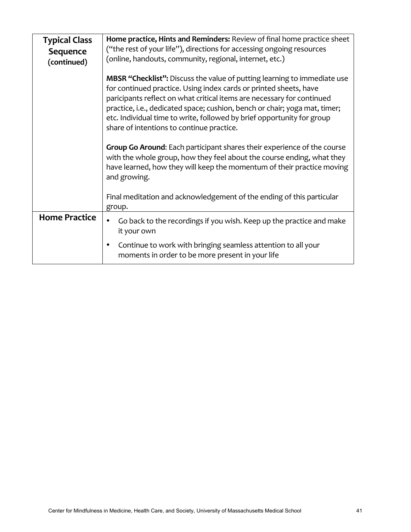| <b>Typical Class</b> | Home practice, Hints and Reminders: Review of final home practice sheet                                                                                                                                                                                                                                                                                                                                                             |  |  |  |
|----------------------|-------------------------------------------------------------------------------------------------------------------------------------------------------------------------------------------------------------------------------------------------------------------------------------------------------------------------------------------------------------------------------------------------------------------------------------|--|--|--|
| Sequence             | ("the rest of your life"), directions for accessing ongoing resources                                                                                                                                                                                                                                                                                                                                                               |  |  |  |
| (continued)          | (online, handouts, community, regional, internet, etc.)                                                                                                                                                                                                                                                                                                                                                                             |  |  |  |
|                      | <b>MBSR "Checklist":</b> Discuss the value of putting learning to immediate use<br>for continued practice. Using index cards or printed sheets, have<br>paricipants reflect on what critical items are necessary for continued<br>practice, i.e., dedicated space; cushion, bench or chair; yoga mat, timer;<br>etc. Individual time to write, followed by brief opportunity for group<br>share of intentions to continue practice. |  |  |  |
|                      | <b>Group Go Around:</b> Each participant shares their experience of the course<br>with the whole group, how they feel about the course ending, what they<br>have learned, how they will keep the momentum of their practice moving<br>and growing.                                                                                                                                                                                  |  |  |  |
|                      | Final meditation and acknowledgement of the ending of this particular<br>group.                                                                                                                                                                                                                                                                                                                                                     |  |  |  |
| <b>Home Practice</b> | Go back to the recordings if you wish. Keep up the practice and make<br>it your own                                                                                                                                                                                                                                                                                                                                                 |  |  |  |
|                      | Continue to work with bringing seamless attention to all your<br>٠<br>moments in order to be more present in your life                                                                                                                                                                                                                                                                                                              |  |  |  |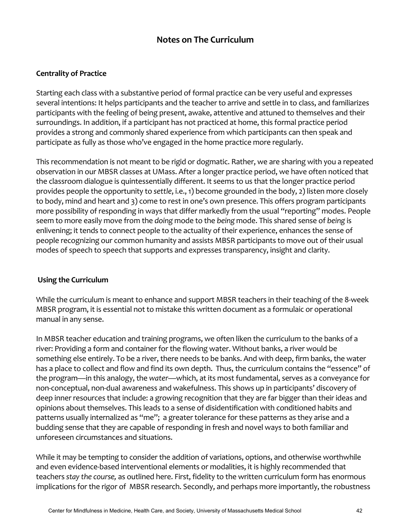### **Notes on The Curriculum**

### **Centrality of Practice**

Starting each class with a substantive period of formal practice can be very useful and expresses several intentions: It helps participants and the teacher to arrive and settle in to class, and familiarizes participants with the feeling of being present, awake, attentive and attuned to themselves and their surroundings. In addition, if a participant has not practiced at home, this formal practice period provides a strong and commonly shared experience from which participants can then speak and participate as fully as those who've engaged in the home practice more regularly.

This recommendation is not meant to be rigid or dogmatic. Rather, we are sharing with you a repeated observation in our MBSR classes at UMass. After a longer practice period, we have often noticed that the classroom dialogue is quintessentially different. It seems to us that the longer practice period provides people the opportunity to settle, i.e., 1) become grounded in the body, 2) listen more closely to body, mind and heart and 3) come to rest in one's own presence. This offers program participants more possibility of responding in ways that differ markedly from the usual "reporting" modes. People seem to more easily move from the *doing* mode to the *being* mode. This shared sense of *being* is enlivening; it tends to connect people to the actuality of their experience, enhances the sense of people recognizing our common humanity and assists MBSR participants to move out of their usual modes of speech to speech that supports and expresses transparency, insight and clarity.

### **Using the Curriculum**

While the curriculum is meant to enhance and support MBSR teachers in their teaching of the 8-week MBSR program, it is essential not to mistake this written document as a formulaic or operational manual in any sense.

In MBSR teacher education and training programs, we often liken the curriculum to the banks of a river: Providing a form and container for the flowing water. Without banks, a river would be something else entirely. To be a river, there needs to be banks. And with deep, firm banks, the water has a place to collect and flow and find its own depth. Thus, the curriculum contains the "essence" of the program—in this analogy, the water—which, at its most fundamental, serves as a conveyance for non-conceptual, non-dual awareness and wakefulness. This shows up in participants' discovery of deep inner resources that include: a growing recognition that they are far bigger than their ideas and opinions about themselves. This leads to a sense of disidentification with conditioned habits and patterns usually internalized as "me"; a greater tolerance for these patterns as they arise and a budding sense that they are capable of responding in fresh and novel ways to both familiar and unforeseen circumstances and situations.

While it may be tempting to consider the addition of variations, options, and otherwise worthwhile and even evidence-based interventional elements or modalities, it is highly recommended that teachers stay the course, as outlined here. First, fidelity to the written curriculum form has enormous implications for the rigor of MBSR research. Secondly, and perhaps more importantly, the robustness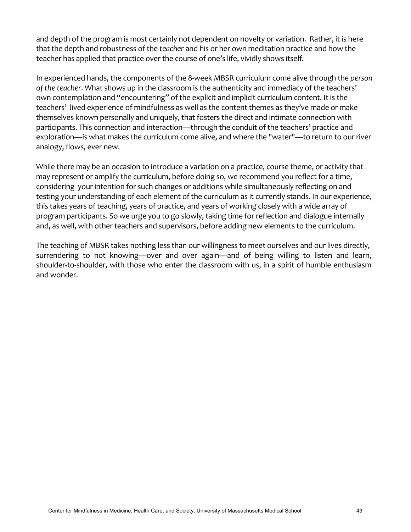and depth of the program is most certainly not dependent on novelty or variation. Rather, it is here that the depth and robustness of the *teacher* and his or her own meditation practice and how the teacher has applied that practice over the course of one's life, vividly shows itself.

In experienced hands, the components of the 8-week MBSR curriculum come alive through the *person* of the teacher. What shows up in the classroom is the authenticity and immediacy of the teachers' own contemplation and "encountering" of the explicit and implicit curriculum content. It is the teachers' lived experience of mindfulness as well as the content themes as they've made or make themselves known personally and uniquely, that fosters the direct and intimate connection with participants. This connection and interaction—through the conduit of the teachers' practice and exploration—is what makes the curriculum come alive, and where the "water"—to return to our river analogy, flows, ever new.

While there may be an occasion to introduce a variation on a practice, course theme, or activity that may represent or amplify the curriculum, before doing so, we recommend you reflect for a time, considering your intention for such changes or additions while simultaneously reflecting on and testing your understanding of each element of the curriculum as it currently stands. In our experience, this takes years of teaching, years of practice, and years of working closely with a wide array of program participants. So we urge you to go slowly, taking time for reflection and dialogue internally and, as well, with other teachers and supervisors, before adding new elements to the curriculum.

The teaching of MBSR takes nothing less than our willingness to meet ourselves and our lives directly, surrendering to not knowing—over and over again—and of being willing to listen and learn, shoulder-to-shoulder, with those who enter the classroom with us, in a spirit of humble enthusiasm and wonder.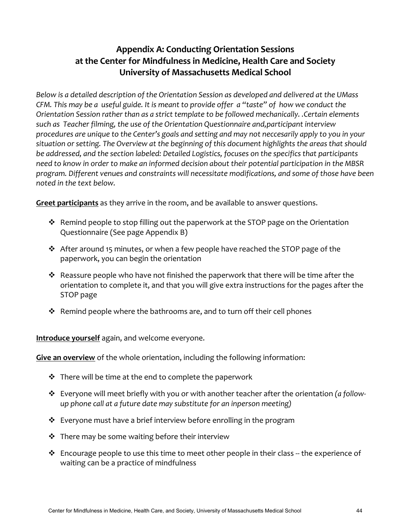# **Appendix A: Conducting Orientation Sessions** at the Center for Mindfulness in Medicine, Health Care and Society **University of Massachusetts Medical School**

Below is a detailed description of the Orientation Session as developed and delivered at the UMass *CFM.* This may be a useful guide. It is meant to provide offer a "taste" of how we conduct the *Orientation Session rather than as a strict template to be followed mechanically. .Certain elements* such as Teacher filming, the use of the Orientation Questionnaire and,participant interview procedures are unique to the Center's goals and setting and may not neccesarily apply to you in your situation or setting. The Overview at the beginning of this document highlights the areas that should be addressed, and the section labeled: Detailed Logistics, focuses on the specifics that participants need to know in order to make an informed decision about their potential participation in the MBSR program. Different venues and constraints will necessitate modifications, and some of those have been noted in the text below.

**Greet participants** as they arrive in the room, and be available to answer questions.

- \* Remind people to stop filling out the paperwork at the STOP page on the Orientation Questionnaire (See page Appendix B)
- $\cdot$  After around 15 minutes, or when a few people have reached the STOP page of the paperwork, you can begin the orientation
- $\cdot$  Reassure people who have not finished the paperwork that there will be time after the orientation to complete it, and that you will give extra instructions for the pages after the STOP page
- $\div$  Remind people where the bathrooms are, and to turn off their cell phones

**Introduce yourself** again, and welcome everyone.

**Give an overview** of the whole orientation, including the following information:

- $\cdot$  There will be time at the end to complete the paperwork
- $\dots$  Everyone will meet briefly with you or with another teacher after the orientation *(a followup* phone call at a future date may substitute for an inperson meeting)
- $\cdot$  Everyone must have a brief interview before enrolling in the program
- $\cdot$  There may be some waiting before their interview
- $\cdot$  Encourage people to use this time to meet other people in their class -- the experience of waiting can be a practice of mindfulness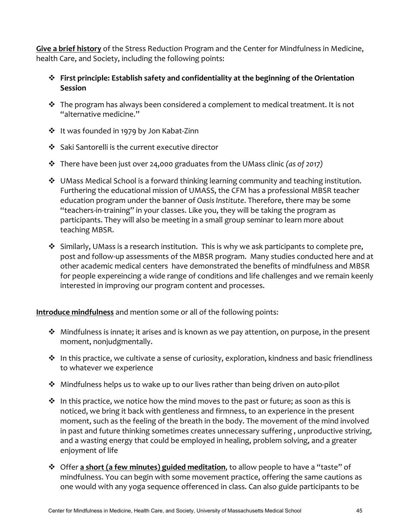**Give a brief history** of the Stress Reduction Program and the Center for Mindfulness in Medicine, health Care, and Society, including the following points:

- $\diamond$  First principle: Establish safety and confidentiality at the beginning of the Orientation **Session**
- $\cdot$  The program has always been considered a complement to medical treatment. It is not "alternative medicine."
- ❖ It was founded in 1979 by Jon Kabat-Zinn
- ❖ Saki Santorelli is the current executive director
- \* There have been just over 24,000 graduates from the UMass clinic *(as of 2017)*
- $\cdot$  UMass Medical School is a forward thinking learning community and teaching institution. Furthering the educational mission of UMASS, the CFM has a professional MBSR teacher education program under the banner of *Oasis Institute*. Therefore, there may be some "teachers-in-training" in your classes. Like you, they will be taking the program as participants. They will also be meeting in a small group seminar to learn more about teaching MBSR.
- $\cdot$  Similarly, UMass is a research institution. This is why we ask participants to complete pre, post and follow-up assessments of the MBSR program. Many studies conducted here and at other academic medical centers have demonstrated the benefits of mindfulness and MBSR for people expereincing a wide range of conditions and life challenges and we remain keenly interested in improving our program content and processes.

**Introduce mindfulness** and mention some or all of the following points:

- $\cdot$  Mindfulness is innate; it arises and is known as we pay attention, on purpose, in the present moment, nonjudgmentally.
- $\cdot$  In this practice, we cultivate a sense of curiosity, exploration, kindness and basic friendliness to whatever we experience
- $\cdot$  Mindfulness helps us to wake up to our lives rather than being driven on auto-pilot
- $\cdot$  In this practice, we notice how the mind moves to the past or future; as soon as this is noticed, we bring it back with gentleness and firmness, to an experience in the present moment, such as the feeling of the breath in the body. The movement of the mind involved in past and future thinking sometimes creates unnecessary suffering, unproductive striving, and a wasting energy that could be employed in healing, problem solving, and a greater enjoyment of life
- $\diamond$  Offer **a short (a few minutes) guided meditation**, to allow people to have a "taste" of mindfulness. You can begin with some movement practice, offering the same cautions as one would with any yoga sequence offerenced in class. Can also guide participants to be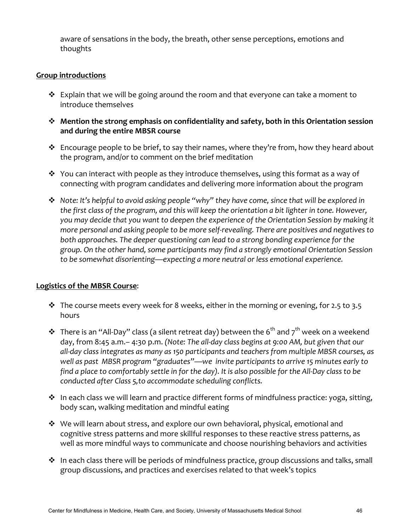aware of sensations in the body, the breath, other sense perceptions, emotions and thoughts 

### **Group introductions**

- $\cdot$  Explain that we will be going around the room and that everyone can take a moment to introduce themselves
- \* Mention the strong emphasis on confidentiality and safety, both in this Orientation session and during the entire MBSR course
- $\cdot$  Encourage people to be brief, to say their names, where they're from, how they heard about the program, and/or to comment on the brief meditation
- $\cdot$  You can interact with people as they introduce themselves, using this format as a way of connecting with program candidates and delivering more information about the program
- $\cdot$  *Note:* It's helpful to avoid asking people "why" they have come, since that will be explored in the first class of the program, and this will keep the orientation a bit lighter in tone. However, you may decide that you want to deepen the experience of the Orientation Session by making it *more personal and asking people to be more self-revealing. There are positives and negatives to* both approaches. The deeper questioning can lead to a strong bonding experience for the *group. On the other hand, some participants may find a strongly emotional Orientation Session* to be somewhat disorienting—expecting a more neutral or less emotional experience.

### **Logistics of the MBSR Course:**

- $\cdot$  The course meets every week for 8 weeks, either in the morning or evening, for 2.5 to 3.5 hours
- ◆ There is an "All-Day" class (a silent retreat day) between the 6<sup>th</sup> and 7<sup>th</sup> week on a weekend day, from 8:45 a.m.– 4:30 p.m. (Note: The all-day class begins at 9:00 AM, but given that our all-day class integrates as many as 150 participants and teachers from multiple MBSR courses, as well as past MBSR program "graduates"—we invite participants to arrive 15 minutes early to find a place to comfortably settle in for the day). It is also possible for the All-Day class to be *conducted after Class 5,to accommodate scheduling conflicts.*
- $\cdot$  In each class we will learn and practice different forms of mindfulness practice: yoga, sitting, body scan, walking meditation and mindful eating
- $\clubsuit$  We will learn about stress, and explore our own behavioral, physical, emotional and cognitive stress patterns and more skillful responses to these reactive stress patterns, as well as more mindful ways to communicate and choose nourishing behaviors and activities
- $\cdot$  In each class there will be periods of mindfulness practice, group discussions and talks, small group discussions, and practices and exercises related to that week's topics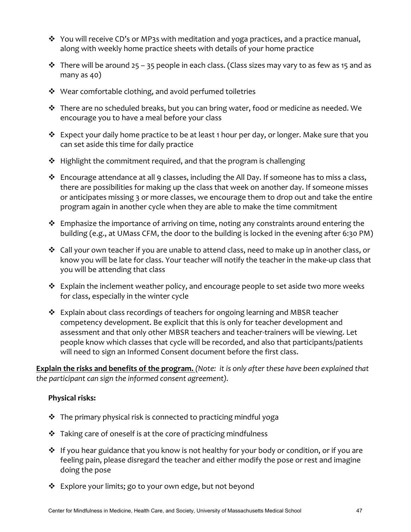- $\cdot$  You will receive CD's or MP3s with meditation and yoga practices, and a practice manual, along with weekly home practice sheets with details of your home practice
- $\cdot$  There will be around 25 35 people in each class. (Class sizes may vary to as few as 15 and as many as  $40)$
- $\cdot$  Wear comfortable clothing, and avoid perfumed toiletries
- $\cdot \cdot$  There are no scheduled breaks, but you can bring water, food or medicine as needed. We encourage you to have a meal before your class
- \* Expect your daily home practice to be at least 1 hour per day, or longer. Make sure that you can set aside this time for daily practice
- $\div$  Highlight the commitment required, and that the program is challenging
- $\div$  Encourage attendance at all 9 classes, including the All Day. If someone has to miss a class, there are possibilities for making up the class that week on another day. If someone misses or anticipates missing 3 or more classes, we encourage them to drop out and take the entire program again in another cycle when they are able to make the time commitment
- $\cdot$  Emphasize the importance of arriving on time, noting any constraints around entering the building (e.g., at UMass CFM, the door to the building is locked in the evening after 6:30 PM)
- $\cdot$  Call your own teacher if you are unable to attend class, need to make up in another class, or know you will be late for class. Your teacher will notify the teacher in the make-up class that you will be attending that class
- $\cdot$  Explain the inclement weather policy, and encourage people to set aside two more weeks for class, especially in the winter cycle
- $\cdot$  Explain about class recordings of teachers for ongoing learning and MBSR teacher competency development. Be explicit that this is only for teacher development and assessment and that only other MBSR teachers and teacher-trainers will be viewing. Let people know which classes that cycle will be recorded, and also that participants/patients will need to sign an Informed Consent document before the first class.

**Explain the risks and benefits of the program.** (Note: it is only after these have been explained that *the participant can sign the informed consent agreement).* 

### **Physical risks:**

- $\cdot$  The primary physical risk is connected to practicing mindful yoga
- $\cdot$  Taking care of oneself is at the core of practicing mindfulness
- $\cdot$  If you hear guidance that you know is not healthy for your body or condition, or if you are feeling pain, please disregard the teacher and either modify the pose or rest and imagine doing the pose
- ❖ Explore your limits; go to your own edge, but not beyond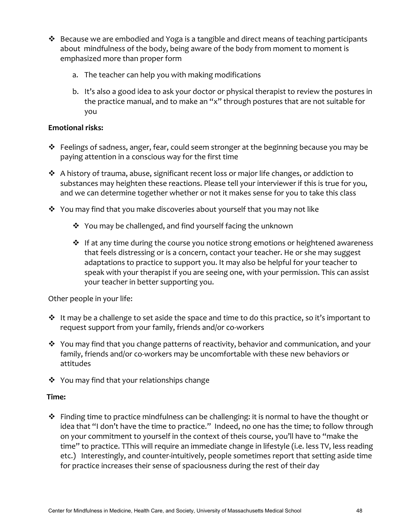- $\cdot \cdot$  Because we are embodied and Yoga is a tangible and direct means of teaching participants about mindfulness of the body, being aware of the body from moment to moment is emphasized more than proper form
	- a. The teacher can help you with making modifications
	- b. It's also a good idea to ask your doctor or physical therapist to review the postures in the practice manual, and to make an "x" through postures that are not suitable for you

### **Emotional risks:**

- $\clubsuit$  Feelings of sadness, anger, fear, could seem stronger at the beginning because you may be paying attention in a conscious way for the first time
- $\cdot$  A history of trauma, abuse, significant recent loss or major life changes, or addiction to substances may heighten these reactions. Please tell your interviewer if this is true for you, and we can determine together whether or not it makes sense for you to take this class
- $\cdot$  You may find that you make discoveries about yourself that you may not like
	- $\cdot$  You may be challenged, and find yourself facing the unknown
	- $\cdot$  If at any time during the course you notice strong emotions or heightened awareness that feels distressing or is a concern, contact your teacher. He or she may suggest adaptations to practice to support you. It may also be helpful for your teacher to speak with your therapist if you are seeing one, with your permission. This can assist your teacher in better supporting you.

Other people in your life:

- $\cdot$  It may be a challenge to set aside the space and time to do this practice, so it's important to request support from your family, friends and/or co-workers
- $\cdot$  You may find that you change patterns of reactivity, behavior and communication, and your family, friends and/or co-workers may be uncomfortable with these new behaviors or attitudes
- $\dots$  You may find that your relationships change

### **Time:**

 $\cdot$  Finding time to practice mindfulness can be challenging: it is normal to have the thought or idea that "I don't have the time to practice." Indeed, no one has the time; to follow through on your commitment to yourself in the context of theis course, you'll have to "make the time" to practice. TThis will require an immediate change in lifestyle (i.e. less TV, less reading etc.) Interestingly, and counter-intuitively, people sometimes report that setting aside time for practice increases their sense of spaciousness during the rest of their day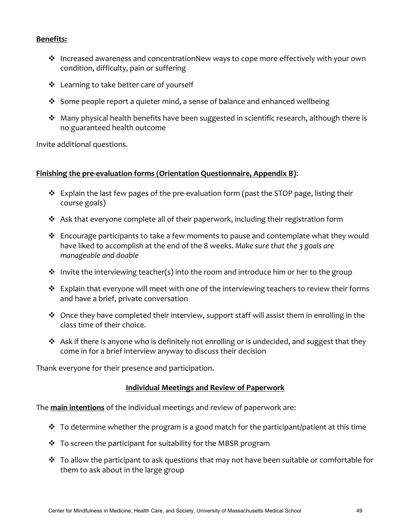### **Benefits:**

- $\cdot$  Increased awareness and concentrationNew ways to cope more effectively with your own condition, difficulty, pain or suffering
- ❖ Learning to take better care of yourself
- $\cdot$  Some people report a quieter mind, a sense of balance and enhanced wellbeing
- $\cdot$  Many physical health benefits have been suggested in scientific research, although there is no guaranteed health outcome

Invite additional questions.

#### **Finishing the pre-evaluation forms (Orientation Questionnaire, Appendix B):**

- $\cdot$  Explain the last few pages of the pre-evaluation form (past the STOP page, listing their course goals)
- $\cdot$  Ask that everyone complete all of their paperwork, including their registration form
- $\cdot$  Encourage participants to take a few moments to pause and contemplate what they would have liked to accomplish at the end of the 8 weeks. Make sure that the 3 goals are *manageable and doable*
- $\cdot$  Invite the interviewing teacher(s) into the room and introduce him or her to the group
- $\cdot$  Explain that everyone will meet with one of the interviewing teachers to review their forms and have a brief, private conversation
- $\cdot$  Once they have completed their interview, support staff will assist them in enrolling in the class time of their choice.
- $\clubsuit$  Ask if there is anyone who is definitely not enrolling or is undecided, and suggest that they come in for a brief interview anyway to discuss their decision

Thank everyone for their presence and participation.

#### **Individual Meetings and Review of Paperwork**

The **main intentions** of the individual meetings and review of paperwork are:

- $\cdot$  To determine whether the program is a good match for the participant/patient at this time
- $\cdot$  To screen the participant for suitability for the MBSR program
- $\cdot$  To allow the participant to ask questions that may not have been suitable or comfortable for them to ask about in the large group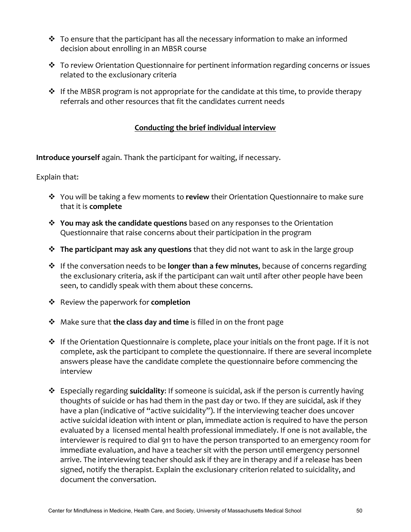- $\cdot$  To ensure that the participant has all the necessary information to make an informed decision about enrolling in an MBSR course
- $\cdot$  To review Orientation Questionnaire for pertinent information regarding concerns or issues related to the exclusionary criteria
- $\cdot$  If the MBSR program is not appropriate for the candidate at this time, to provide therapy referrals and other resources that fit the candidates current needs

### **Conducting the brief individual interview**

**Introduce yourself** again. Thank the participant for waiting, if necessary.

Explain that:

- $\dots$  You will be taking a few moments to **review** their Orientation Questionnaire to make sure that it is **complete**
- $\diamond$  **You may ask the candidate questions** based on any responses to the Orientation Questionnaire that raise concerns about their participation in the program
- $\dots$  **The participant may ask any questions** that they did not want to ask in the large group
- $\diamond$  If the conversation needs to be **longer than a few minutes**, because of concerns regarding the exclusionary criteria, ask if the participant can wait until after other people have been seen, to candidly speak with them about these concerns.
- **❖** Review the paperwork for **completion**
- **↓** Make sure that **the class day and time** is filled in on the front page
- $\cdot \cdot$  If the Orientation Questionnaire is complete, place your initials on the front page. If it is not complete, ask the participant to complete the questionnaire. If there are several incomplete answers please have the candidate complete the questionnaire before commencing the interview
- **E** Especially regarding **suicidality**: If someone is suicidal, ask if the person is currently having thoughts of suicide or has had them in the past day or two. If they are suicidal, ask if they have a plan (indicative of "active suicidality"). If the interviewing teacher does uncover active suicidal ideation with intent or plan, immediate action is required to have the person evaluated by a licensed mental health professional immediately. If one is not available, the interviewer is required to dial 911 to have the person transported to an emergency room for immediate evaluation, and have a teacher sit with the person until emergency personnel arrive. The interviewing teacher should ask if they are in therapy and if a release has been signed, notify the therapist. Explain the exclusionary criterion related to suicidality, and document the conversation.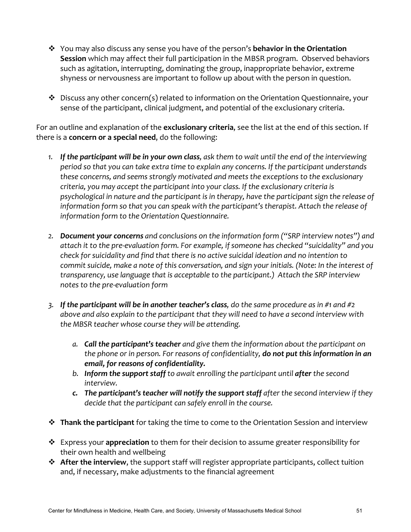- \* You may also discuss any sense you have of the person's **behavior in the Orientation Session** which may affect their full participation in the MBSR program. Observed behaviors such as agitation, interrupting, dominating the group, inappropriate behavior, extreme shyness or nervousness are important to follow up about with the person in question.
- $\cdot$  Discuss any other concern(s) related to information on the Orientation Questionnaire, your sense of the participant, clinical judgment, and potential of the exclusionary criteria.

For an outline and explanation of the exclusionary criteria, see the list at the end of this section. If there is a **concern or a special need**, do the following:

- 1. If the participant will be in your own class, ask them to wait until the end of the interviewing period so that you can take extra time to explain any concerns. If the participant understands these concerns, and seems strongly motivated and meets the exceptions to the exclusionary *criteria, you may accept the participant into your class. If the exclusionary criteria is* psychological in nature and the participant is in therapy, have the participant sign the release of information form so that you can speak with the participant's therapist. Attach the release of *information form to the Orientation Questionnaire.*
- 2. **Document your concerns** and conclusions on the information form ("SRP interview notes") and attach it to the pre-evaluation form. For example, if someone has checked "suicidality" and you *check* for suicidality and find that there is no active suicidal ideation and no intention to *commit suicide, make a note of this conversation, and sign your initials. (Note: In the interest of transparency, use language that is acceptable to the participant.)* Attach the SRP interview *notes to the pre-evaluation form*
- 3. If the participant will be in another teacher's class, do the same procedure as in #1 and #2 *above and also explain to the participant that they will need to have a second interview with* the MBSR teacher whose course they will be attending.
	- a. Call the participant's teacher and give them the information about the participant on *the phone or in person. For reasons of confidentiality, do not put this information in an email, for reasons of confidentiality.*
	- *b.* Inform the support staff to await enrolling the participant until after the second *interview.*
	- *c.* The participant's teacher will notify the support staff after the second interview if they *decide* that the participant can safely enroll in the course.
- \* Thank the participant for taking the time to come to the Orientation Session and interview
- **\*** Express your **appreciation** to them for their decision to assume greater responsibility for their own health and wellbeing
- \* After the interview, the support staff will register appropriate participants, collect tuition and, if necessary, make adjustments to the financial agreement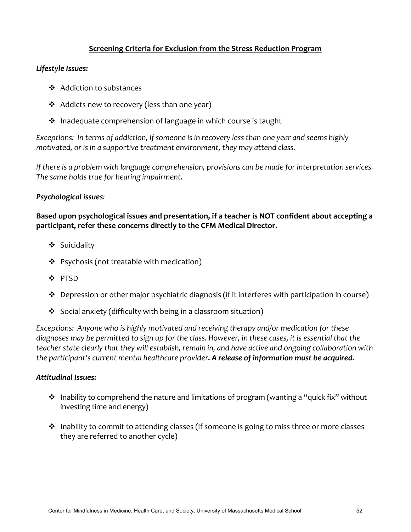### **Screening Criteria for Exclusion from the Stress Reduction Program**

#### Lifestyle Issues:

- ❖ Addiction to substances
- $\triangleleft$  Addicts new to recovery (less than one year)
- $\cdot$  Inadequate comprehension of language in which course is taught

*Exceptions:* In terms of addiction, if someone is in recovery less than one year and seems highly *motivated, or is in a supportive treatment environment, they may attend class.* 

*If* there is a problem with language comprehension, provisions can be made for interpretation services. The same holds true for hearing impairment.

### *Psychological issues:*

Based upon psychological issues and presentation, if a teacher is NOT confident about accepting a participant, refer these concerns directly to the CFM Medical Director.

- v Suicidality
- $\div$  Psychosis (not treatable with medication)
- v PTSD
- $\cdot$  Depression or other major psychiatric diagnosis (if it interferes with participation in course)
- $\cdot$  Social anxiety (difficulty with being in a classroom situation)

Exceptions: Anyone who is highly motivated and receiving therapy and/or medication for these diagnoses may be permitted to sign up for the class. However, in these cases, it is essential that the *teacher* state clearly that they will establish, remain in, and have active and ongoing collaboration with the participant's current mental healthcare provider. A release of information must be acquired.

#### **Attitudinal Issues:**

- $\cdot \cdot$  Inability to comprehend the nature and limitations of program (wanting a "quick fix" without investing time and energy)
- $\cdot$  Inability to commit to attending classes (if someone is going to miss three or more classes they are referred to another cycle)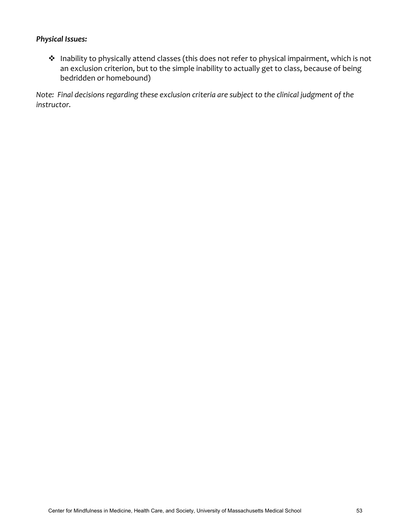### **Physical Issues:**

◆ Inability to physically attend classes (this does not refer to physical impairment, which is not an exclusion criterion, but to the simple inability to actually get to class, because of being bedridden or homebound)

*Note:* Final decisions regarding these exclusion criteria are subject to the clinical judgment of the *instructor.*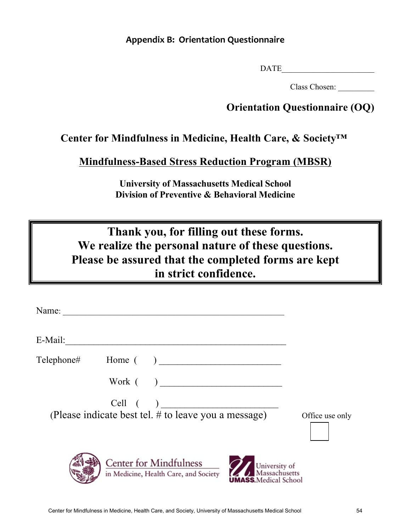### **Appendix B: Orientation Questionnaire**

DATE

Class Chosen: \_\_\_\_\_\_\_\_\_

# **Orientation Questionnaire (OQ)**

# **Center for Mindfulness in Medicine, Health Care, & Society™**

**Mindfulness-Based Stress Reduction Program (MBSR)**

**University of Massachusetts Medical School Division of Preventive & Behavioral Medicine**

**Thank you, for filling out these forms. We realize the personal nature of these questions. Please be assured that the completed forms are kept in strict confidence.** 

| E-Mail: |                                                                        |                                                                |
|---------|------------------------------------------------------------------------|----------------------------------------------------------------|
|         | Telephone# Home ()                                                     |                                                                |
|         |                                                                        |                                                                |
|         | $Cell$ $( )$<br>(Please indicate best tel. $#$ to leave you a message) | Office use only                                                |
|         | <b>Center for Mindfulness</b><br>in Medicine, Health Care, and Society | University of<br>Massachusetts<br><b>UMASS.</b> Medical School |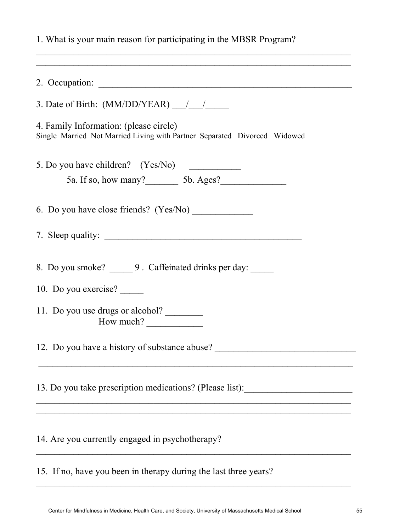|  |  | 1. What is your main reason for participating in the MBSR Program? |
|--|--|--------------------------------------------------------------------|
|  |  |                                                                    |

| 4. Family Information: (please circle)<br>Single Married Not Married Living with Partner Separated Divorced Widowed |
|---------------------------------------------------------------------------------------------------------------------|
| 5. Do you have children? (Yes/No)                                                                                   |
|                                                                                                                     |
|                                                                                                                     |
|                                                                                                                     |
| 8. Do you smoke? _______ 9. Caffeinated drinks per day: ______<br>10. Do you exercise?                              |
| 11. Do you use drugs or alcohol?<br>How much? $\qquad \qquad$                                                       |
| 12. Do you have a history of substance abuse?                                                                       |
| 13. Do you take prescription medications? (Please list):                                                            |
| 14. Are you currently engaged in psychotherapy?                                                                     |
| 15. If no, have you been in therapy during the last three years?                                                    |

 $\mathcal{L}_\text{max} = \mathcal{L}_\text{max} = \mathcal{L}_\text{max} = \mathcal{L}_\text{max} = \mathcal{L}_\text{max} = \mathcal{L}_\text{max} = \mathcal{L}_\text{max} = \mathcal{L}_\text{max} = \mathcal{L}_\text{max} = \mathcal{L}_\text{max} = \mathcal{L}_\text{max} = \mathcal{L}_\text{max} = \mathcal{L}_\text{max} = \mathcal{L}_\text{max} = \mathcal{L}_\text{max} = \mathcal{L}_\text{max} = \mathcal{L}_\text{max} = \mathcal{L}_\text{max} = \mathcal{$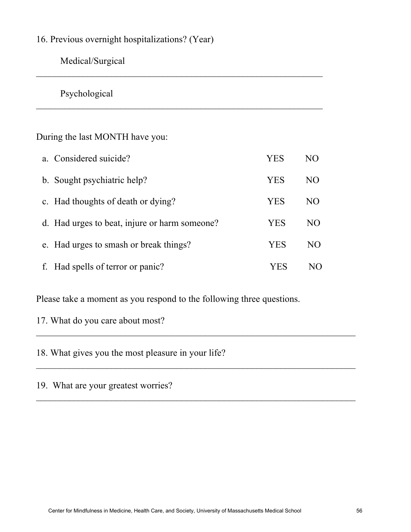# 16. Previous overnight hospitalizations? (Year)

Medical/Surgical

Psychological

During the last MONTH have you:

| a. Considered suicide?                        | YES        | NO  |
|-----------------------------------------------|------------|-----|
| b. Sought psychiatric help?                   | <b>YES</b> | NO  |
| c. Had thoughts of death or dying?            | <b>YES</b> | NO  |
| d. Had urges to beat, injure or harm someone? | <b>YES</b> | NO  |
| e. Had urges to smash or break things?        | <b>YES</b> | NO. |
| f. Had spells of terror or panic?             | YES        | N() |

 $\_$  , and the contribution of the contribution of  $\mathcal{L}_\mathcal{A}$  , and the contribution of  $\mathcal{L}_\mathcal{A}$ 

Please take a moment as you respond to the following three questions.

 $\_$ 

17. What do you care about most?

18. What gives you the most pleasure in your life?

19. What are your greatest worries?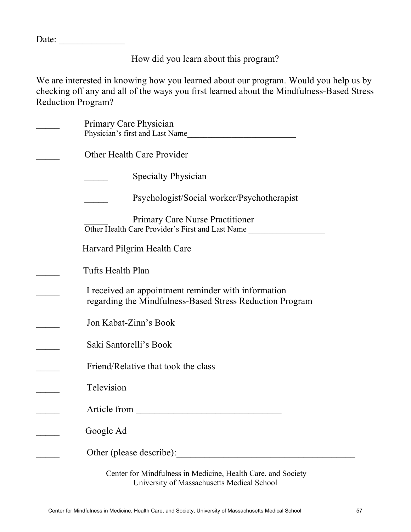Date:

How did you learn about this program?

We are interested in knowing how you learned about our program. Would you help us by checking off any and all of the ways you first learned about the Mindfulness-Based Stress Reduction Program?

| Primary Care Physician                                                                                          |
|-----------------------------------------------------------------------------------------------------------------|
| Physician's first and Last Name                                                                                 |
| Other Health Care Provider                                                                                      |
| <b>Specialty Physician</b>                                                                                      |
| Psychologist/Social worker/Psychotherapist                                                                      |
| <b>Primary Care Nurse Practitioner</b><br>Other Health Care Provider's First and Last Name                      |
| Harvard Pilgrim Health Care                                                                                     |
| Tufts Health Plan                                                                                               |
| I received an appointment reminder with information<br>regarding the Mindfulness-Based Stress Reduction Program |
| Jon Kabat-Zinn's Book                                                                                           |
| Saki Santorelli's Book                                                                                          |
| Friend/Relative that took the class                                                                             |
| Television                                                                                                      |
| Article from                                                                                                    |
| Google Ad                                                                                                       |
| Other (please describe):                                                                                        |
| Center for Mindfulness in Medicine, Health Care, and Society                                                    |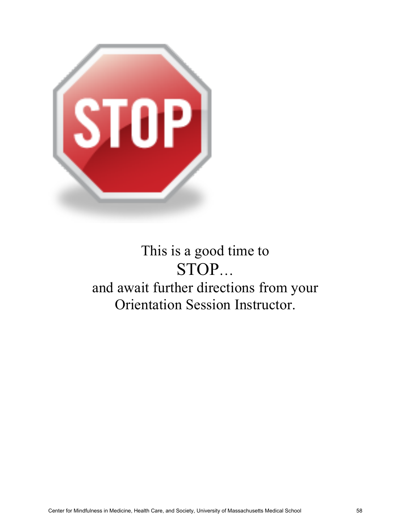

# This is a good time to STOP… and await further directions from your Orientation Session Instructor.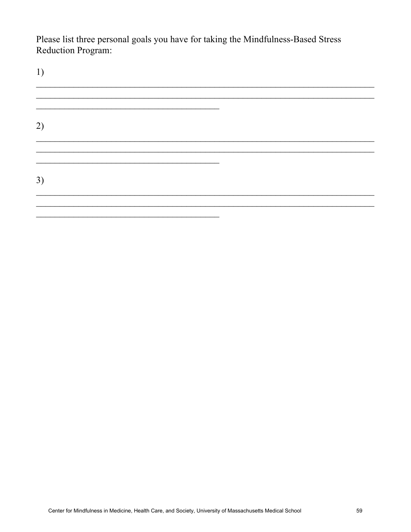Please list three personal goals you have for taking the Mindfulness-Based Stress Reduction Program: